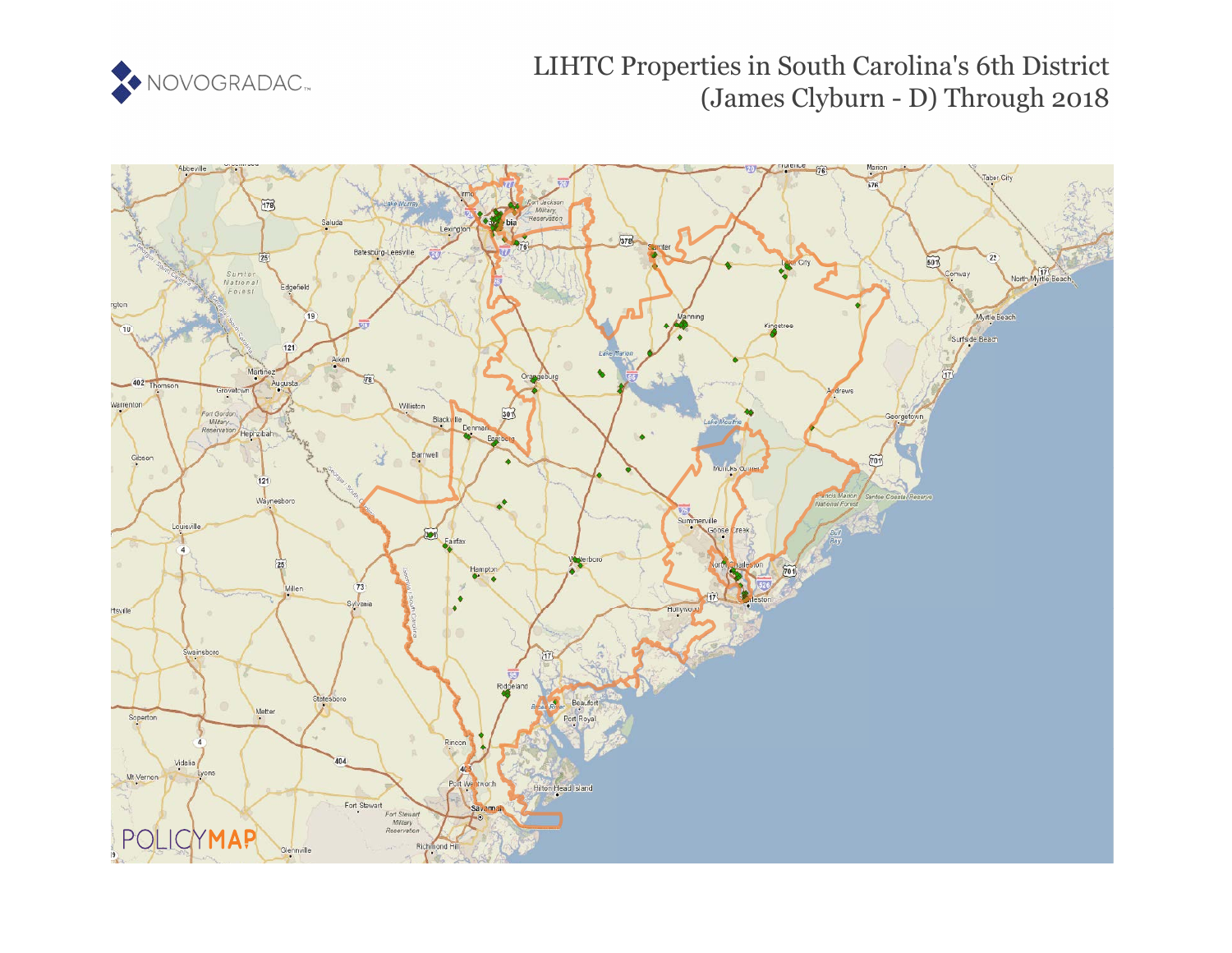

# LIHTC Properties in South Carolina's 6th District (James Clyburn - D) Through 2018

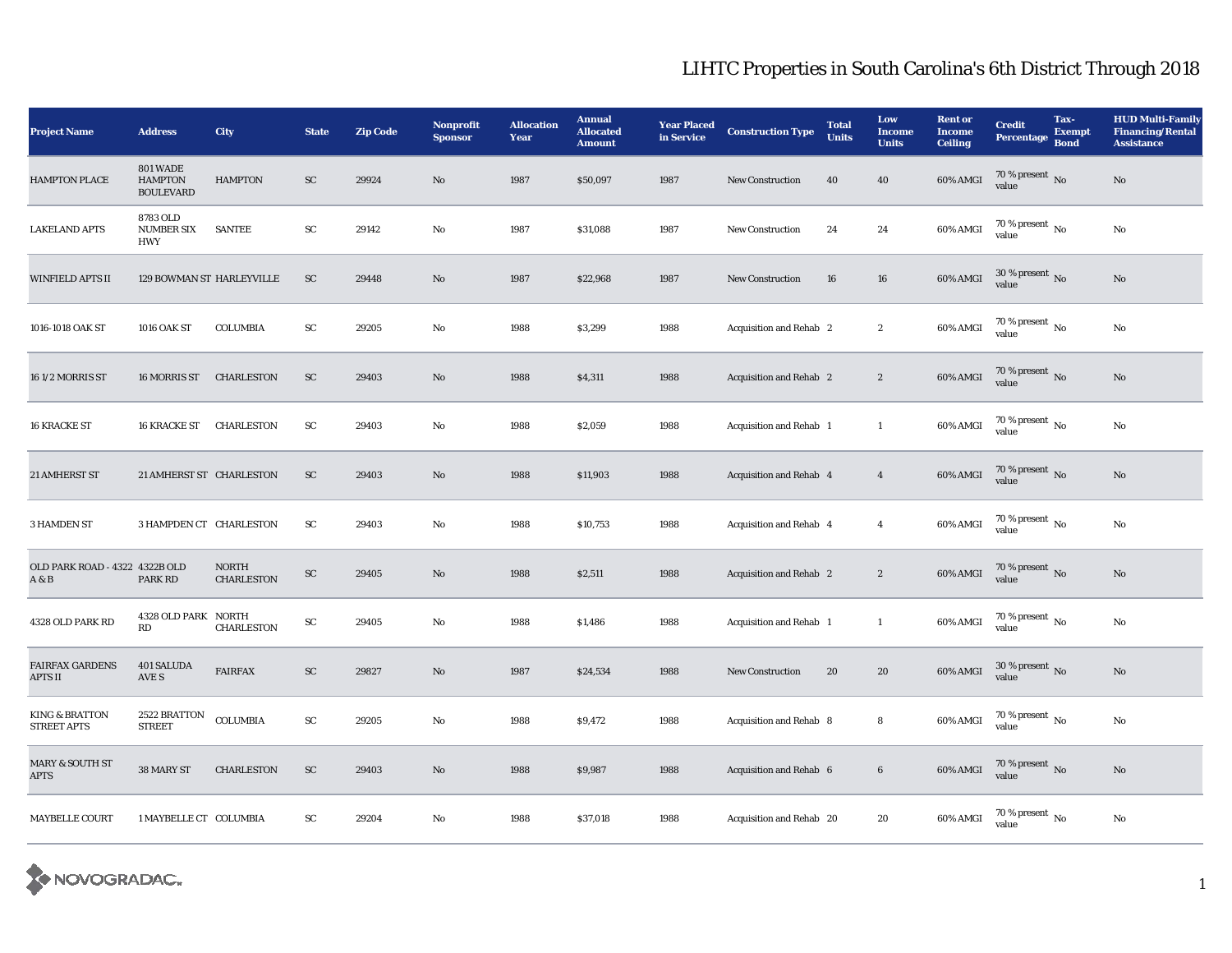| <b>Project Name</b>                             | <b>Address</b>                                        | City                              | <b>State</b> | <b>Zip Code</b> | Nonprofit<br><b>Sponsor</b> | <b>Allocation</b><br>Year | <b>Annual</b><br><b>Allocated</b><br><b>Amount</b> | <b>Year Placed</b><br>in Service | <b>Construction Type</b> | <b>Total</b><br><b>Units</b> | Low<br><b>Income</b><br><b>Units</b> | <b>Rent or</b><br><b>Income</b><br><b>Ceiling</b> | <b>Credit</b><br><b>Percentage</b>   | Tax-<br><b>Exempt</b><br><b>Bond</b> | <b>HUD Multi-Family</b><br><b>Financing/Rental</b><br><b>Assistance</b> |
|-------------------------------------------------|-------------------------------------------------------|-----------------------------------|--------------|-----------------|-----------------------------|---------------------------|----------------------------------------------------|----------------------------------|--------------------------|------------------------------|--------------------------------------|---------------------------------------------------|--------------------------------------|--------------------------------------|-------------------------------------------------------------------------|
| <b>HAMPTON PLACE</b>                            | <b>801 WADE</b><br><b>HAMPTON</b><br><b>BOULEVARD</b> | <b>HAMPTON</b>                    | ${\rm SC}$   | 29924           | $\mathbf{N}\mathbf{o}$      | 1987                      | \$50,097                                           | 1987                             | New Construction         | 40                           | 40                                   | 60% AMGI                                          | $70\,\%$ present $\,$ No value       |                                      | $\rm No$                                                                |
| <b>LAKELAND APTS</b>                            | 8783 OLD<br><b>NUMBER SIX</b><br><b>HWY</b>           | <b>SANTEE</b>                     | ${\rm SC}$   | 29142           | No                          | 1987                      | \$31,088                                           | 1987                             | New Construction         | 24                           | 24                                   | 60% AMGI                                          | $70$ % present $\,$ No $\,$<br>value |                                      | $\rm No$                                                                |
| <b>WINFIELD APTS II</b>                         | 129 BOWMAN ST HARLEYVILLE                             |                                   | ${\rm SC}$   | 29448           | $\mathbf{N}\mathbf{o}$      | 1987                      | \$22,968                                           | 1987                             | New Construction         | 16                           | ${\bf 16}$                           | 60% AMGI                                          | $30$ % present $_{\rm{No}}$          |                                      | $\rm No$                                                                |
| 1016-1018 OAK ST                                | <b>1016 OAK ST</b>                                    | <b>COLUMBIA</b>                   | ${\rm SC}$   | 29205           | $\rm No$                    | 1988                      | \$3,299                                            | 1988                             | Acquisition and Rehab 2  |                              | $\boldsymbol{2}$                     | 60% AMGI                                          | $70\,\%$ present $\,$ No value       |                                      | $\rm No$                                                                |
| 16 1/2 MORRIS ST                                | 16 MORRIS ST                                          | CHARLESTON                        | ${\rm SC}$   | 29403           | $\mathbf{N}\mathbf{o}$      | 1988                      | \$4,311                                            | 1988                             | Acquisition and Rehab 2  |                              | $\boldsymbol{2}$                     | 60% AMGI                                          | $70\,\%$ present $\,$ No value       |                                      | $\mathbf{N}\mathbf{o}$                                                  |
| <b>16 KRACKE ST</b>                             | <b>16 KRACKE ST</b>                                   | CHARLESTON                        | <b>SC</b>    | 29403           | No                          | 1988                      | \$2,059                                            | 1988                             | Acquisition and Rehab 1  |                              | $\mathbf{1}$                         | 60% AMGI                                          | $70\,\%$ present $\,$ No value       |                                      | $\rm No$                                                                |
| 21 AMHERST ST                                   | 21 AMHERST ST CHARLESTON                              |                                   | <b>SC</b>    | 29403           | No                          | 1988                      | \$11,903                                           | 1988                             | Acquisition and Rehab 4  |                              | $\boldsymbol{4}$                     | 60% AMGI                                          | $70\,\%$ present $\,$ No value       |                                      | $\rm No$                                                                |
| <b>3 HAMDEN ST</b>                              | 3 HAMPDEN CT CHARLESTON                               |                                   | SC           | 29403           | No                          | 1988                      | \$10,753                                           | 1988                             | Acquisition and Rehab 4  |                              | $\overline{4}$                       | 60% AMGI                                          | $70\,\%$ present $\,$ No value       |                                      | $\rm No$                                                                |
| OLD PARK ROAD - 4322 4322B OLD<br>A & B         | PARK RD                                               | <b>NORTH</b><br><b>CHARLESTON</b> | SC           | 29405           | No                          | 1988                      | \$2,511                                            | 1988                             | Acquisition and Rehab 2  |                              | $\boldsymbol{2}$                     | 60% AMGI                                          | $70\,\%$ present $\,$ No value       |                                      | $\mathbf{N}\mathbf{o}$                                                  |
| 4328 OLD PARK RD                                | 4328 OLD PARK NORTH<br>RD                             | <b>CHARLESTON</b>                 | SC           | 29405           | No                          | 1988                      | \$1,486                                            | 1988                             | Acquisition and Rehab 1  |                              | $\mathbf{1}$                         | 60% AMGI                                          | $70\,\%$ present $_{\rm{No}}$        |                                      | No                                                                      |
| <b>FAIRFAX GARDENS</b><br>APTS II               | 401 SALUDA<br>AVE S                                   | <b>FAIRFAX</b>                    | SC           | 29827           | No                          | 1987                      | \$24,534                                           | 1988                             | <b>New Construction</b>  | 20                           | 20                                   | 60% AMGI                                          | $30$ % present $\,$ No value         |                                      | $\mathbf{N}\mathbf{o}$                                                  |
| <b>KING &amp; BRATTON</b><br><b>STREET APTS</b> | 2522 BRATTON<br><b>STREET</b>                         | <b>COLUMBIA</b>                   | ${\bf SC}$   | 29205           | No                          | 1988                      | \$9,472                                            | 1988                             | Acquisition and Rehab 8  |                              | ${\bf 8}$                            | $60\%$ AMGI                                       | $70\,\%$ present $\,$ No value       |                                      | No                                                                      |
| MARY & SOUTH ST<br><b>APTS</b>                  | 38 MARY ST                                            | <b>CHARLESTON</b>                 | <b>SC</b>    | 29403           | No                          | 1988                      | \$9,987                                            | 1988                             | Acquisition and Rehab 6  |                              | $\boldsymbol{6}$                     | 60% AMGI                                          | $70\,\%$ present $\,$ No value       |                                      | No                                                                      |
| <b>MAYBELLE COURT</b>                           | 1 MAYBELLE CT COLUMBIA                                |                                   | ${\rm SC}$   | 29204           | No                          | 1988                      | \$37,018                                           | 1988                             | Acquisition and Rehab 20 |                              | 20                                   | 60% AMGI                                          | $70\,\%$ present $\,$ No value       |                                      | No                                                                      |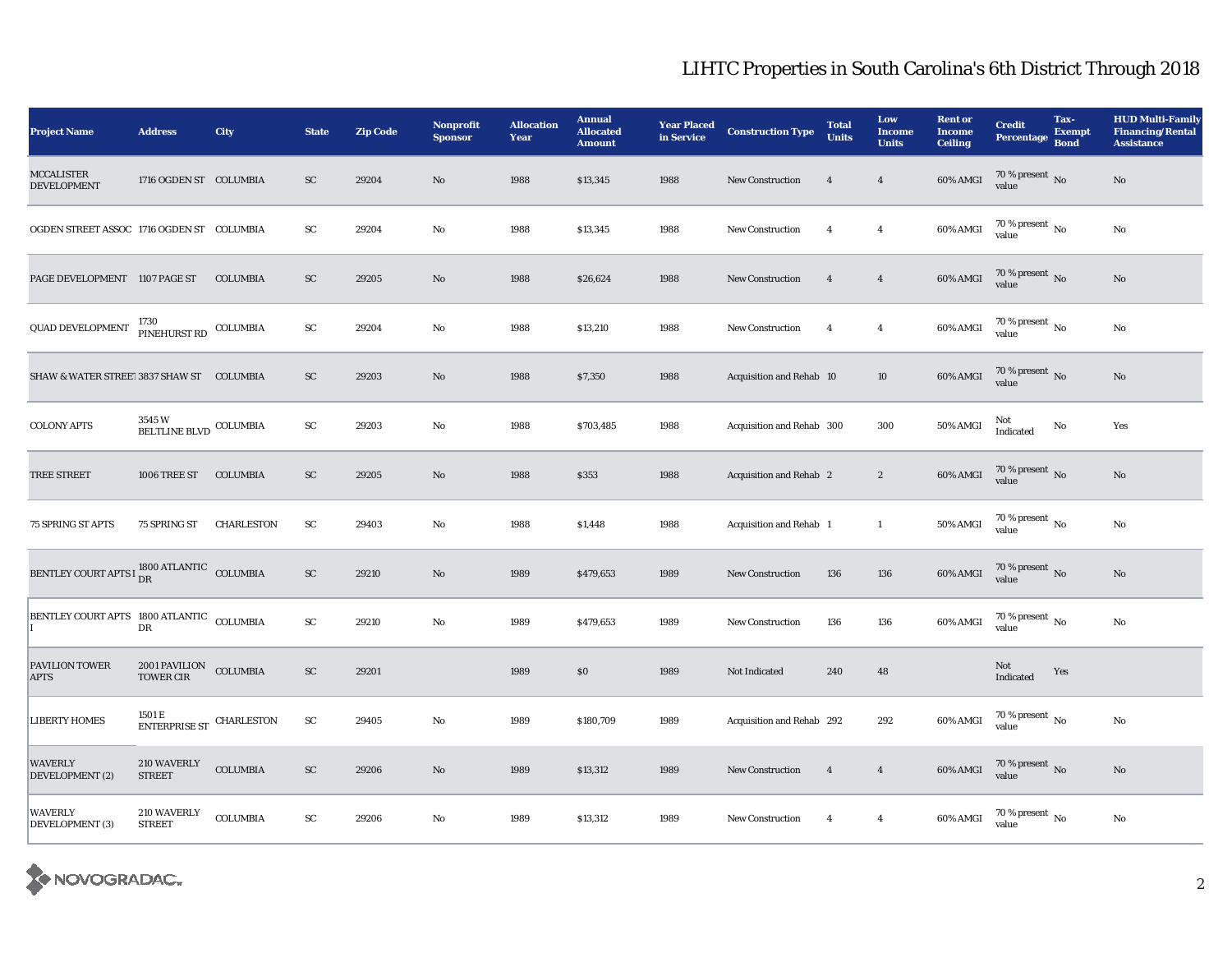| <b>Project Name</b>                                              | <b>Address</b>                                     | City              | <b>State</b> | <b>Zip Code</b> | <b>Nonprofit</b><br><b>Sponsor</b> | <b>Allocation</b><br>Year | <b>Annual</b><br><b>Allocated</b><br><b>Amount</b> | <b>Year Placed<br/>in Service</b> | <b>Construction Type</b>  | <b>Total</b><br><b>Units</b> | Low<br><b>Income</b><br><b>Units</b> | <b>Rent or</b><br><b>Income</b><br><b>Ceiling</b> | <b>Credit</b><br><b>Percentage</b> | Tax-<br><b>Exempt</b><br><b>Bond</b> | <b>HUD Multi-Family</b><br><b>Financing/Rental</b><br><b>Assistance</b> |
|------------------------------------------------------------------|----------------------------------------------------|-------------------|--------------|-----------------|------------------------------------|---------------------------|----------------------------------------------------|-----------------------------------|---------------------------|------------------------------|--------------------------------------|---------------------------------------------------|------------------------------------|--------------------------------------|-------------------------------------------------------------------------|
| <b>MCCALISTER</b><br><b>DEVELOPMENT</b>                          | 1716 OGDEN ST COLUMBIA                             |                   | <b>SC</b>    | 29204           | No                                 | 1988                      | \$13,345                                           | 1988                              | <b>New Construction</b>   | $\overline{4}$               | $\overline{4}$                       | $60\%$ AMGI                                       | $70\,\%$ present $\,$ No value     |                                      | No                                                                      |
| OGDEN STREET ASSOC 1716 OGDEN ST COLUMBIA                        |                                                    |                   | <b>SC</b>    | 29204           | No                                 | 1988                      | \$13,345                                           | 1988                              | <b>New Construction</b>   | $\overline{4}$               | $\overline{4}$                       | 60% AMGI                                          | $70\,\%$ present $\,$ No value     |                                      | $\mathbf {No}$                                                          |
| PAGE DEVELOPMENT 1107 PAGE ST                                    |                                                    | <b>COLUMBIA</b>   | <b>SC</b>    | 29205           | $\rm No$                           | 1988                      | \$26,624                                           | 1988                              | <b>New Construction</b>   | $\overline{4}$               | $\overline{4}$                       | 60% AMGI                                          | $70\,\%$ present $_{\rm{No}}$      |                                      | No                                                                      |
| QUAD DEVELOPMENT <sup>1730</sup> PINEHURST RD COLUMBIA           |                                                    |                   | ${\bf SC}$   | 29204           | No                                 | 1988                      | \$13,210                                           | 1988                              | <b>New Construction</b>   | $\overline{4}$               | $\boldsymbol{4}$                     | 60% AMGI                                          | $70\,\%$ present $_{\rm{No}}$      |                                      | $\mathbf {No}$                                                          |
| SHAW & WATER STREET 3837 SHAW ST COLUMBIA                        |                                                    |                   | ${\rm SC}$   | 29203           | $\rm No$                           | 1988                      | \$7,350                                            | 1988                              | Acquisition and Rehab 10  |                              | $10\,$                               | 60% AMGI                                          | $70\,\%$ present $\,$ No value     |                                      | $\rm No$                                                                |
| <b>COLONY APTS</b>                                               | 3545 W<br>BELTLINE BLVD COLUMBIA                   |                   | ${\bf SC}$   | 29203           | No                                 | 1988                      | \$703,485                                          | 1988                              | Acquisition and Rehab 300 |                              | 300                                  | 50% AMGI                                          | Not<br>Indicated                   | No                                   | Yes                                                                     |
| <b>TREE STREET</b>                                               | 1006 TREE ST                                       | <b>COLUMBIA</b>   | <b>SC</b>    | 29205           | $\rm No$                           | 1988                      | \$353                                              | 1988                              | Acquisition and Rehab 2   |                              | $\boldsymbol{2}$                     | 60% AMGI                                          | $70\,\%$ present $\,$ No value     |                                      | $\rm No$                                                                |
| 75 SPRING ST APTS                                                | 75 SPRING ST                                       | <b>CHARLESTON</b> | SC           | 29403           | No                                 | 1988                      | \$1,448                                            | 1988                              | Acquisition and Rehab 1   |                              | $\mathbf{1}$                         | 50% AMGI                                          | 70 % present $\,$ No $\,$<br>value |                                      | No                                                                      |
| BENTLEY COURT APTS I $_{\rm{DR}}^{1800\,\rm{ATLANTIC}}$ COLUMBIA |                                                    |                   | <b>SC</b>    | 29210           | No                                 | 1989                      | \$479,653                                          | 1989                              | <b>New Construction</b>   | 136                          | 136                                  | 60% AMGI                                          | $70\,\%$ present $\,$ No value     |                                      | No                                                                      |
| BENTLEY COURT APTS 1800 ATLANTIC COLUMBIA                        | DR                                                 |                   | ${\rm SC}$   | 29210           | $\rm No$                           | 1989                      | \$479,653                                          | 1989                              | <b>New Construction</b>   | 136                          | 136                                  | 60% AMGI                                          | 70 % present $\,$ No $\,$<br>value |                                      | No                                                                      |
| PAVILION TOWER<br>APTS                                           | 2001 PAVILION COLUMBIA<br><b>TOWER CIR</b>         |                   | SC           | 29201           |                                    | 1989                      | \$0                                                | 1989                              | Not Indicated             | 240                          | 48                                   |                                                   | Not<br>Indicated                   | Yes                                  |                                                                         |
| <b>LIBERTY HOMES</b>                                             | 1501 E<br>$\textsc{ENTERPRISE}$ ST $\,$ CHARLESTON |                   | SC           | 29405           | No                                 | 1989                      | \$180,709                                          | 1989                              | Acquisition and Rehab 292 |                              | 292                                  | 60% AMGI                                          | $70\,\%$ present $\,$ No value     |                                      | No                                                                      |
| WAVERLY<br>DEVELOPMENT (2)                                       | 210 WAVERLY<br><b>STREET</b>                       | <b>COLUMBIA</b>   | <b>SC</b>    | 29206           | No                                 | 1989                      | \$13,312                                           | 1989                              | <b>New Construction</b>   | $\overline{4}$               | $\overline{4}$                       | 60% AMGI                                          | $70\,\%$ present $\,$ No value     |                                      | $\rm No$                                                                |
| WAVERLY<br>DEVELOPMENT (3)                                       | 210 WAVERLY<br><b>STREET</b>                       | <b>COLUMBIA</b>   | ${\rm SC}$   | 29206           | No                                 | 1989                      | \$13,312                                           | 1989                              | <b>New Construction</b>   | $\overline{4}$               | $\overline{4}$                       | 60% AMGI                                          | 70 % present $\,$ No $\,$<br>value |                                      | No                                                                      |

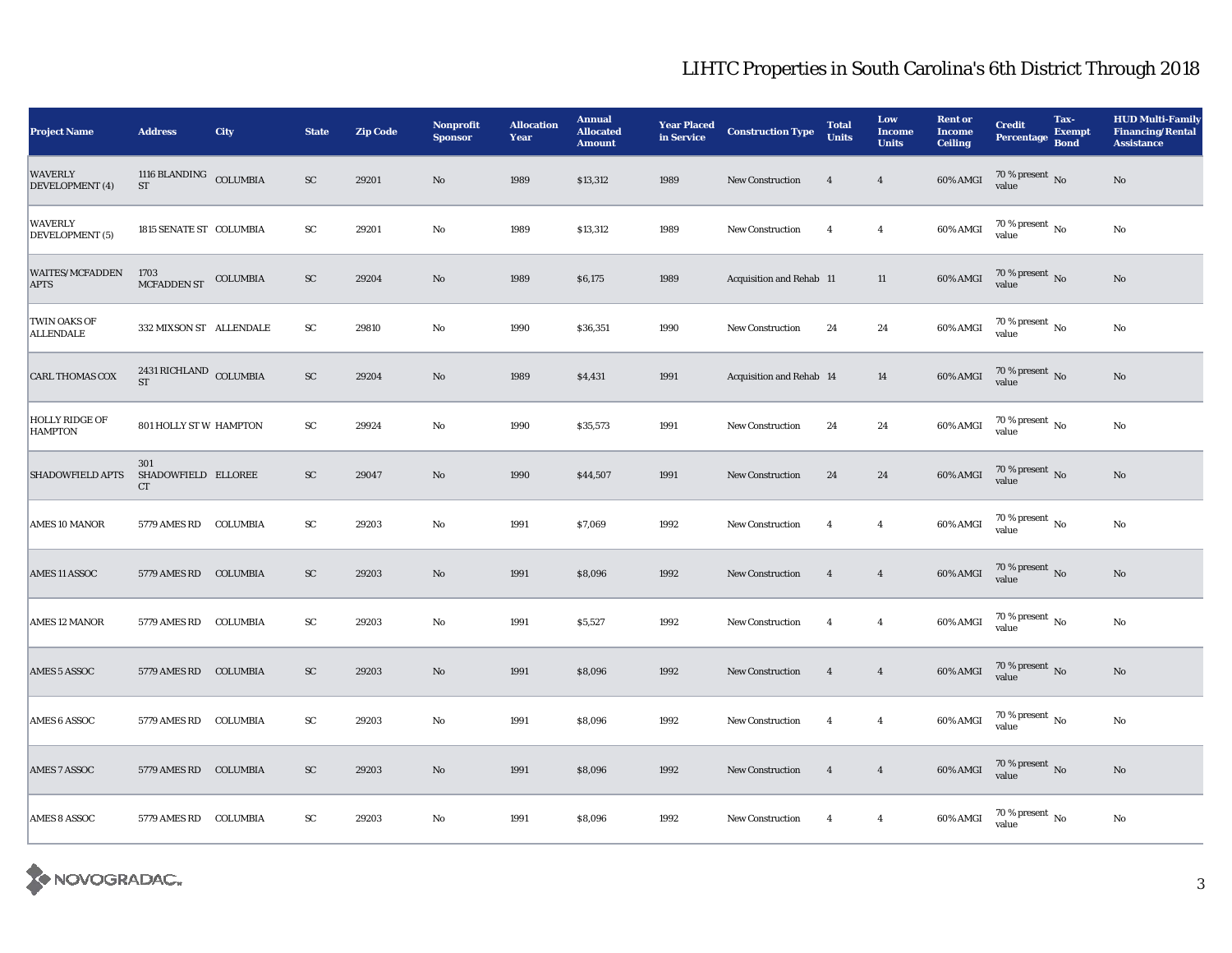| <b>Project Name</b>                     | <b>Address</b>                          | <b>City</b> | <b>State</b> | <b>Zip Code</b> | Nonprofit<br><b>Sponsor</b> | <b>Allocation</b><br>Year | <b>Annual</b><br><b>Allocated</b><br><b>Amount</b> | <b>Year Placed</b><br>in Service | <b>Construction Type</b> | <b>Total</b><br><b>Units</b> | Low<br><b>Income</b><br><b>Units</b> | <b>Rent or</b><br><b>Income</b><br><b>Ceiling</b> | <b>Credit</b><br><b>Percentage</b> | Tax-<br><b>Exempt</b><br><b>Bond</b> | <b>HUD Multi-Family</b><br><b>Financing/Rental</b><br><b>Assistance</b> |
|-----------------------------------------|-----------------------------------------|-------------|--------------|-----------------|-----------------------------|---------------------------|----------------------------------------------------|----------------------------------|--------------------------|------------------------------|--------------------------------------|---------------------------------------------------|------------------------------------|--------------------------------------|-------------------------------------------------------------------------|
| WAVERLY<br>DEVELOPMENT (4)              | 1116 BLANDING COLUMBIA<br><b>ST</b>     |             | ${\rm SC}$   | 29201           | $\mathbf{N}\mathbf{o}$      | 1989                      | \$13,312                                           | 1989                             | <b>New Construction</b>  | $\overline{4}$               | $\overline{4}$                       | $60\%$ AMGI                                       | $70\,\%$ present $\,$ No value     |                                      | No                                                                      |
| WAVERLY<br>DEVELOPMENT (5)              | 1815 SENATE ST COLUMBIA                 |             | ${\rm SC}$   | 29201           | No                          | 1989                      | \$13,312                                           | 1989                             | New Construction         | $\overline{4}$               | $\overline{4}$                       | 60% AMGI                                          | 70 % present $\,$ No $\,$<br>value |                                      | $\rm No$                                                                |
| <b>WAITES/MCFADDEN</b><br>APTS          | 1703<br>MCFADDEN ST COLUMBIA            |             | ${\rm SC}$   | 29204           | No                          | 1989                      | \$6,175                                            | 1989                             | Acquisition and Rehab 11 |                              | $11\,$                               | 60% AMGI                                          | $70\,\%$ present $\,$ No value     |                                      | $\rm No$                                                                |
| TWIN OAKS OF<br><b>ALLENDALE</b>        | 332 MIXSON ST ALLENDALE                 |             | ${\rm SC}$   | 29810           | No                          | 1990                      | \$36,351                                           | 1990                             | <b>New Construction</b>  | 24                           | $\bf 24$                             | 60% AMGI                                          | $70\,\%$ present $_{\rm{No}}$      |                                      | $\rm No$                                                                |
| CARL THOMAS COX                         | 2431 RICHLAND COLUMBIA<br><b>ST</b>     |             | ${\rm SC}$   | 29204           | $\rm No$                    | 1989                      | \$4,431                                            | 1991                             | Acquisition and Rehab 14 |                              | 14                                   | 60% AMGI                                          | $70\,\%$ present $\,$ No value     |                                      | $\rm\thinspace No$                                                      |
| <b>HOLLY RIDGE OF</b><br><b>HAMPTON</b> | 801 HOLLY ST W HAMPTON                  |             | ${\rm SC}$   | 29924           | No                          | 1990                      | \$35,573                                           | 1991                             | <b>New Construction</b>  | 24                           | 24                                   | 60% AMGI                                          | $70\,\%$ present $\,$ No value     |                                      | $\rm No$                                                                |
| <b>SHADOWFIELD APTS</b>                 | 301<br>SHADOWFIELD ELLOREE<br><b>CT</b> |             | <b>SC</b>    | 29047           | No                          | 1990                      | \$44,507                                           | 1991                             | <b>New Construction</b>  | 24                           | $\bf 24$                             | 60% AMGI                                          | $70\,\%$ present $\,$ No value     |                                      | $\rm\thinspace No$                                                      |
| <b>AMES 10 MANOR</b>                    | 5779 AMES RD COLUMBIA                   |             | SC           | 29203           | No                          | 1991                      | \$7,069                                            | 1992                             | <b>New Construction</b>  | $\overline{4}$               | $\overline{4}$                       | 60% AMGI                                          | $70\,\%$ present $\,$ No value     |                                      | $\rm No$                                                                |
| AMES 11 ASSOC                           | 5779 AMES RD COLUMBIA                   |             | <b>SC</b>    | 29203           | No                          | 1991                      | \$8,096                                            | 1992                             | <b>New Construction</b>  | $\overline{4}$               | $\overline{4}$                       | 60% AMGI                                          | $70\,\%$ present $\,$ No value     |                                      | $\rm No$                                                                |
| <b>AMES 12 MANOR</b>                    | 5779 AMES RD                            | COLUMBIA    | ${\rm SC}$   | 29203           | No                          | 1991                      | \$5,527                                            | 1992                             | <b>New Construction</b>  | $\overline{4}$               | $\overline{4}$                       | 60% AMGI                                          | $70\,\%$ present $_{\rm{No}}$      |                                      | No                                                                      |
| <b>AMES 5 ASSOC</b>                     | 5779 AMES RD                            | COLUMBIA    | <b>SC</b>    | 29203           | No                          | 1991                      | \$8,096                                            | 1992                             | <b>New Construction</b>  | $\overline{4}$               | $\overline{4}$                       | 60% AMGI                                          | $70\,\%$ present $\,$ No value     |                                      | No                                                                      |
| <b>AMES 6 ASSOC</b>                     | 5779 AMES RD                            | COLUMBIA    | ${\rm SC}$   | 29203           | No                          | 1991                      | \$8,096                                            | 1992                             | <b>New Construction</b>  | $\overline{4}$               | $\overline{4}$                       | 60% AMGI                                          | 70 % present $\,$ No $\,$<br>value |                                      | No                                                                      |
| <b>AMES 7 ASSOC</b>                     | 5779 AMES RD                            | COLUMBIA    | ${\rm SC}$   | 29203           | No                          | 1991                      | \$8,096                                            | 1992                             | <b>New Construction</b>  | $\overline{4}$               | $\overline{4}$                       | 60% AMGI                                          | $70\,\%$ present $\,$ No value     |                                      | No                                                                      |
| AMES 8 ASSOC                            | 5779 AMES RD COLUMBIA                   |             | SC           | 29203           | No                          | 1991                      | \$8,096                                            | 1992                             | <b>New Construction</b>  | $\overline{4}$               | $\overline{4}$                       | 60% AMGI                                          | $70\,\%$ present $\,$ No value     |                                      | No                                                                      |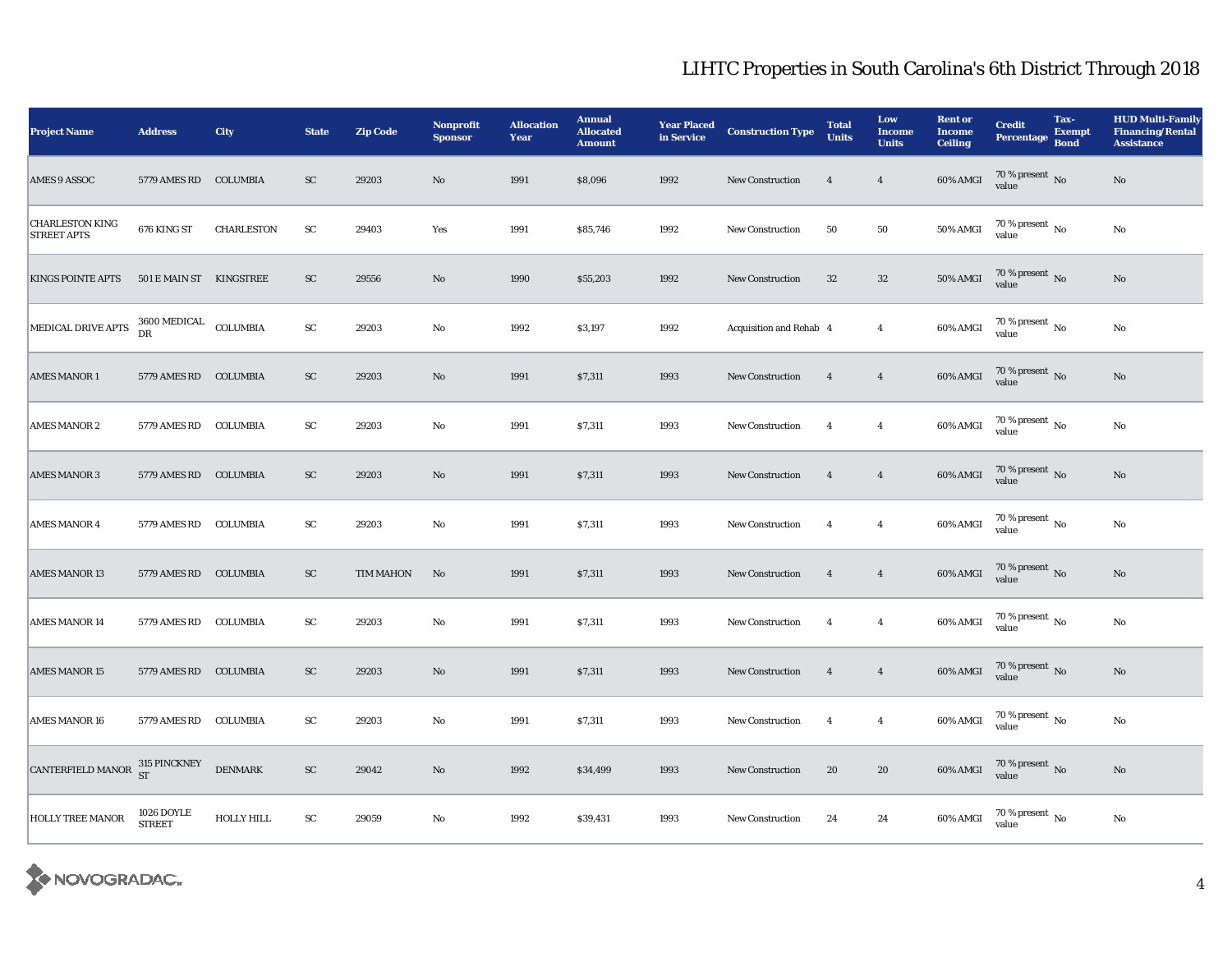| <b>Project Name</b>                          | <b>Address</b>                       | City           | <b>State</b> | <b>Zip Code</b>  | Nonprofit<br><b>Sponsor</b> | <b>Allocation</b><br>Year | <b>Annual</b><br><b>Allocated</b><br><b>Amount</b> | <b>Year Placed</b><br>in Service | <b>Construction Type</b> | <b>Total</b><br><b>Units</b> | Low<br><b>Income</b><br><b>Units</b> | <b>Rent or</b><br><b>Income</b><br><b>Ceiling</b> | <b>Credit</b><br>Percentage Bond       | Tax-<br><b>Exempt</b> | <b>HUD Multi-Family</b><br><b>Financing/Rental</b><br><b>Assistance</b> |
|----------------------------------------------|--------------------------------------|----------------|--------------|------------------|-----------------------------|---------------------------|----------------------------------------------------|----------------------------------|--------------------------|------------------------------|--------------------------------------|---------------------------------------------------|----------------------------------------|-----------------------|-------------------------------------------------------------------------|
| <b>AMES 9 ASSOC</b>                          | 5779 AMES RD COLUMBIA                |                | SC           | 29203            | $\mathbf{N}\mathbf{o}$      | 1991                      | \$8,096                                            | 1992                             | New Construction         | $\overline{4}$               | $\overline{4}$                       | $60\%$ AMGI                                       | $70\,\%$ present $\,$ No value         |                       | No                                                                      |
| <b>CHARLESTON KING</b><br><b>STREET APTS</b> | 676 KING ST                          | CHARLESTON     | ${\rm SC}$   | 29403            | Yes                         | 1991                      | \$85,746                                           | 1992                             | <b>New Construction</b>  | 50                           | 50                                   | <b>50% AMGI</b>                                   | 70 % present $\,$ No $\,$<br>value     |                       | No                                                                      |
| <b>KINGS POINTE APTS</b>                     | 501 E MAIN ST KINGSTREE              |                | ${\rm SC}$   | 29556            | No                          | 1990                      | \$55,203                                           | 1992                             | <b>New Construction</b>  | 32                           | $32\,$                               | $50\%$ AMGI                                       | $70\,\%$ present $\,$ No value         |                       | No                                                                      |
| MEDICAL DRIVE APTS                           | $3600\,\mathrm{MEDICAL}$ COLUMBIA DR |                | ${\rm SC}$   | 29203            | No                          | 1992                      | \$3,197                                            | 1992                             | Acquisition and Rehab 4  |                              | $\overline{4}$                       | 60% AMGI                                          | $70$ % present $\,$ No $\,$<br>value   |                       | $\rm No$                                                                |
| <b>AMES MANOR 1</b>                          | 5779 AMES RD COLUMBIA                |                | ${\rm SC}$   | 29203            | No                          | 1991                      | \$7,311                                            | 1993                             | New Construction         | $\overline{4}$               | $\overline{4}$                       | 60% AMGI                                          | $70\,\%$ present $\,$ No value         |                       | $\rm No$                                                                |
| <b>AMES MANOR 2</b>                          | 5779 AMES RD COLUMBIA                |                | ${\rm SC}$   | 29203            | No                          | 1991                      | \$7,311                                            | 1993                             | <b>New Construction</b>  | $\overline{4}$               | $\overline{4}$                       | 60% AMGI                                          | $70\,\%$ present $\,$ No $\,$<br>value |                       | $\rm No$                                                                |
| <b>AMES MANOR 3</b>                          | 5779 AMES RD COLUMBIA                |                | ${\rm SC}$   | 29203            | No                          | 1991                      | \$7,311                                            | 1993                             | New Construction         | $\overline{4}$               | $\overline{4}$                       | 60% AMGI                                          | $70$ % present $\,$ No value           |                       | $\rm No$                                                                |
| <b>AMES MANOR 4</b>                          | 5779 AMES RD COLUMBIA                |                | ${\rm sc}$   | 29203            | No                          | 1991                      | \$7,311                                            | 1993                             | <b>New Construction</b>  | $\overline{4}$               | $\overline{4}$                       | $60\%$ AMGI                                       | 70 % present $\,$ No $\,$<br>value     |                       | $\rm\thinspace No$                                                      |
| <b>AMES MANOR 13</b>                         | 5779 AMES RD COLUMBIA                |                | SC           | <b>TIM MAHON</b> | No                          | 1991                      | \$7,311                                            | 1993                             | <b>New Construction</b>  | $\overline{4}$               | $\overline{4}$                       | 60% AMGI                                          | $70$ % present $\,$ No value           |                       | $\mathbf{N}\mathbf{o}$                                                  |
| <b>AMES MANOR 14</b>                         | 5779 AMES RD                         | COLUMBIA       | ${\rm SC}$   | 29203            | No                          | 1991                      | \$7,311                                            | 1993                             | <b>New Construction</b>  | $\overline{4}$               | $\overline{4}$                       | $60\%$ AMGI                                       | $70$ % present $\,$ No value           |                       | $\rm\thinspace No$                                                      |
| <b>AMES MANOR 15</b>                         | 5779 AMES RD COLUMBIA                |                | ${\rm SC}$   | 29203            | No                          | 1991                      | \$7,311                                            | 1993                             | <b>New Construction</b>  | $\overline{4}$               | $\overline{\mathbf{4}}$              | 60% AMGI                                          | $70$ % present $\,$ No value           |                       | $\rm No$                                                                |
| <b>AMES MANOR 16</b>                         | 5779 AMES RD                         | COLUMBIA       | ${\rm sc}$   | 29203            | No                          | 1991                      | \$7,311                                            | 1993                             | <b>New Construction</b>  | $\overline{4}$               | $\overline{4}$                       | $60\%$ AMGI                                       | $70$ % present $\,$ No value           |                       | $\rm No$                                                                |
| CANTERFIELD MANOR $^{315}_{ST}$ PINCKNEY     |                                      | <b>DENMARK</b> | ${\rm SC}$   | 29042            | No                          | 1992                      | \$34,499                                           | 1993                             | <b>New Construction</b>  | 20                           | 20                                   | $60\%$ AMGI                                       | $70$ % present $\,$ No value           |                       | $\rm\thinspace No$                                                      |
| <b>HOLLY TREE MANOR</b>                      | 1026 DOYLE<br><b>STREET</b>          | HOLLY HILL     | ${\rm SC}$   | 29059            | No                          | 1992                      | \$39,431                                           | 1993                             | <b>New Construction</b>  | 24                           | 24                                   | 60% AMGI                                          | $70$ % present $\,$ No value           |                       | $\rm No$                                                                |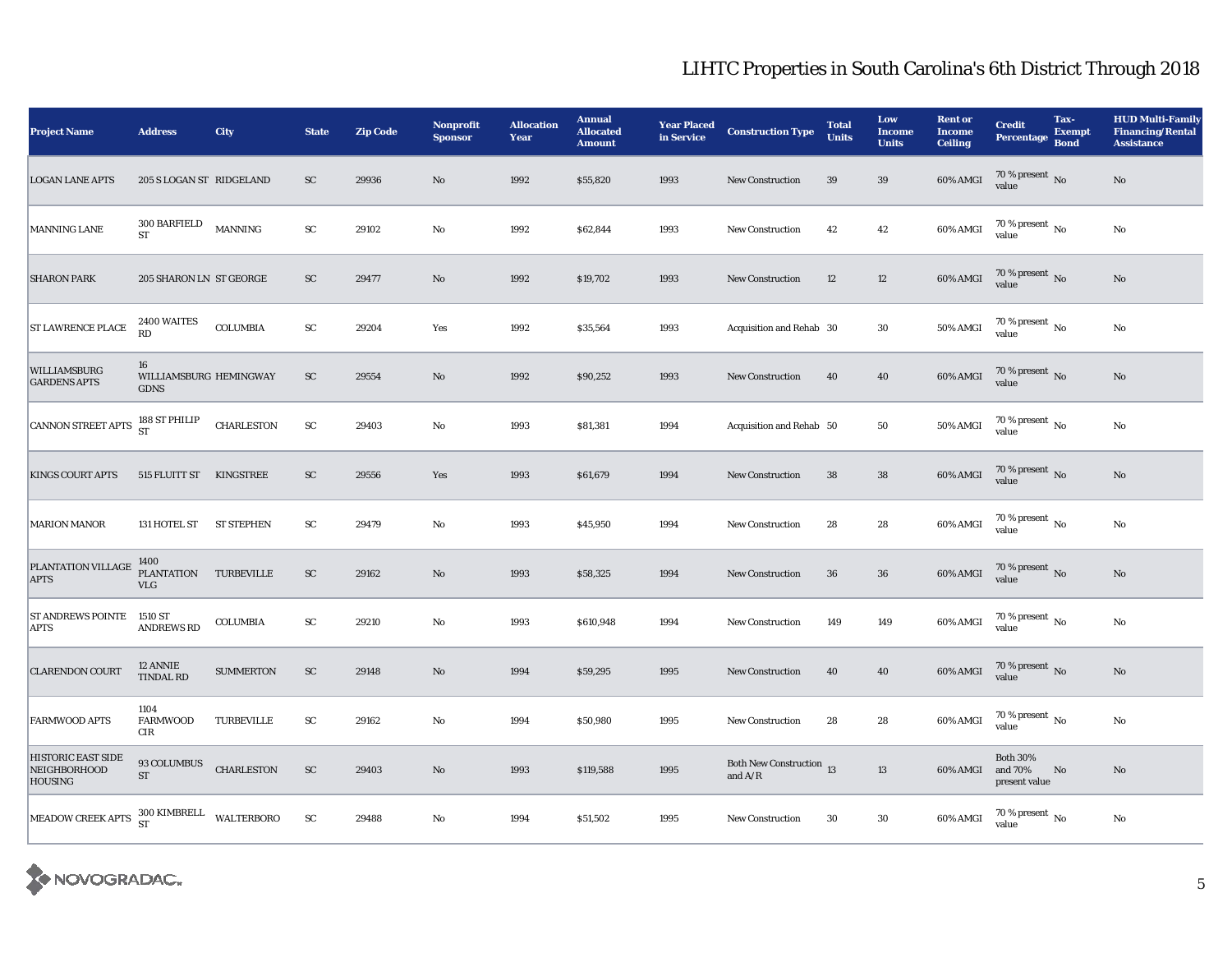| <b>Project Name</b>                                         | <b>Address</b>                                                                         | City              | <b>State</b> | <b>Zip Code</b> | Nonprofit<br><b>Sponsor</b> | <b>Allocation</b><br>Year | <b>Annual</b><br><b>Allocated</b><br><b>Amount</b> | <b>Year Placed</b><br>in Service | <b>Construction Type</b>              | <b>Total</b><br><b>Units</b> | Low<br><b>Income</b><br><b>Units</b> | <b>Rent or</b><br><b>Income</b><br><b>Ceiling</b> | <b>Credit</b><br>Percentage                 | Tax-<br><b>Exempt</b><br><b>Bond</b> | <b>HUD Multi-Family</b><br><b>Financing/Rental</b><br><b>Assistance</b> |
|-------------------------------------------------------------|----------------------------------------------------------------------------------------|-------------------|--------------|-----------------|-----------------------------|---------------------------|----------------------------------------------------|----------------------------------|---------------------------------------|------------------------------|--------------------------------------|---------------------------------------------------|---------------------------------------------|--------------------------------------|-------------------------------------------------------------------------|
| <b>LOGAN LANE APTS</b>                                      | 205 S LOGAN ST RIDGELAND                                                               |                   | SC           | 29936           | $\mathbf{N}\mathbf{o}$      | 1992                      | \$55,820                                           | 1993                             | New Construction                      | 39                           | 39                                   | 60% AMGI                                          | $70\,\%$ present $\,$ No value              |                                      | $\mathbf{N}\mathbf{o}$                                                  |
| <b>MANNING LANE</b>                                         | $300\,\mathrm{BARFIELD}$<br><b>ST</b>                                                  | <b>MANNING</b>    | ${\rm SC}$   | 29102           | No                          | 1992                      | \$62,844                                           | 1993                             | <b>New Construction</b>               | 42                           | 42                                   | 60% AMGI                                          | $70$ % present $\,$ No $\,$<br>value        |                                      | No                                                                      |
| <b>SHARON PARK</b>                                          | 205 SHARON LN ST GEORGE                                                                |                   | ${\rm SC}$   | 29477           | $\mathbf{N}\mathbf{o}$      | 1992                      | \$19,702                                           | 1993                             | New Construction                      | 12                           | 12                                   | 60% AMGI                                          | $70\,\%$ present $\,$ No value              |                                      | No                                                                      |
| <b>ST LAWRENCE PLACE</b>                                    | 2400 WAITES<br><b>RD</b>                                                               | <b>COLUMBIA</b>   | ${\rm SC}$   | 29204           | Yes                         | 1992                      | \$35,564                                           | 1993                             | Acquisition and Rehab 30              |                              | 30                                   | 50% AMGI                                          | $70$ % present $_{\, \rm No}$<br>value      |                                      | $\rm No$                                                                |
| <b>WILLIAMSBURG</b><br><b>GARDENS APTS</b>                  | 16<br>WILLIAMSBURG HEMINGWAY<br><b>GDNS</b>                                            |                   | ${\rm SC}$   | 29554           | $\mathbf{N}\mathbf{o}$      | 1992                      | \$90,252                                           | 1993                             | <b>New Construction</b>               | 40                           | 40                                   | 60% AMGI                                          | $70\,\%$ present $\,$ No value              |                                      | $\rm No$                                                                |
| CANNON STREET APTS $\frac{188}{ST}$ PHILIP                  |                                                                                        | <b>CHARLESTON</b> | ${\rm SC}$   | 29403           | No                          | 1993                      | \$81,381                                           | 1994                             | Acquisition and Rehab 50              |                              | 50                                   | <b>50% AMGI</b>                                   | $70\,\%$ present $\,$ No $\,$<br>value      |                                      | $\rm No$                                                                |
| <b>KINGS COURT APTS</b>                                     | 515 FLUITT ST KINGSTREE                                                                |                   | ${\rm SC}$   | 29556           | Yes                         | 1993                      | \$61,679                                           | 1994                             | <b>New Construction</b>               | ${\bf 38}$                   | 38                                   | $60\%$ AMGI                                       | $70\,\%$ present $\,$ No value              |                                      | $\rm No$                                                                |
| <b>MARION MANOR</b>                                         | 131 HOTEL ST                                                                           | <b>ST STEPHEN</b> | SC           | 29479           | No                          | 1993                      | \$45,950                                           | 1994                             | <b>New Construction</b>               | 28                           | 28                                   | 60% AMGI                                          | $70\,\%$ present $\,$ No value              |                                      | $\rm No$                                                                |
| PLANTATION VILLAGE<br><b>APTS</b>                           | $\begin{tabular}{ll} 1400 \\ PLANTATION & TURBEVILLE \end{tabular}$<br><b>VLG</b>      |                   | ${\rm SC}$   | 29162           | No                          | 1993                      | \$58,325                                           | 1994                             | <b>New Construction</b>               | 36                           | 36                                   | 60% AMGI                                          | $70\,\%$ present $\,$ No value              |                                      | $\mathbf{N}\mathbf{o}$                                                  |
| ST ANDREWS POINTE 1510 ST<br><b>APTS</b>                    | ANDREWS RD                                                                             | COLUMBIA          | ${\rm SC}$   | 29210           | No                          | 1993                      | \$610,948                                          | 1994                             | <b>New Construction</b>               | 149                          | 149                                  | 60% AMGI                                          | 70 % present $\,$ No $\,$<br>value          |                                      | $\rm No$                                                                |
| <b>CLARENDON COURT</b>                                      | 12 ANNIE<br><b>TINDAL RD</b>                                                           | <b>SUMMERTON</b>  | ${\rm SC}$   | 29148           | No                          | 1994                      | \$59,295                                           | 1995                             | <b>New Construction</b>               | 40                           | 40                                   | <b>60% AMGI</b>                                   | $70\,\%$ present $\,$ No value              |                                      | $\rm No$                                                                |
| <b>FARMWOOD APTS</b>                                        | 1104<br><b>FARMWOOD</b><br>CIR                                                         | TURBEVILLE        | ${\rm SC}$   | 29162           | No                          | 1994                      | \$50,980                                           | 1995                             | <b>New Construction</b>               | 28                           | 28                                   | 60% AMGI                                          | 70 % present $\,$ No $\,$<br>value          |                                      | $\rm No$                                                                |
| <b>HISTORIC EAST SIDE</b><br>NEIGHBORHOOD<br><b>HOUSING</b> | 93 COLUMBUS<br>ST                                                                      | <b>CHARLESTON</b> | ${\rm SC}$   | 29403           | No                          | 1993                      | \$119,588                                          | 1995                             | Both New Construction 13<br>and $A/R$ |                              | 13                                   | 60% AMGI                                          | <b>Both 30%</b><br>and 70%<br>present value | No                                   | $\rm No$                                                                |
| MEADOW CREEK APTS                                           | $\begin{array}{cc}\n300 \text{ KIMBREL} & \text{WALTERBORO} \\ \text{ST}\n\end{array}$ |                   | ${\rm SC}$   | 29488           | No                          | 1994                      | \$51,502                                           | 1995                             | <b>New Construction</b>               | 30                           | $30\,$                               | 60% AMGI                                          | $70\,\%$ present $\,$ No value              |                                      | No                                                                      |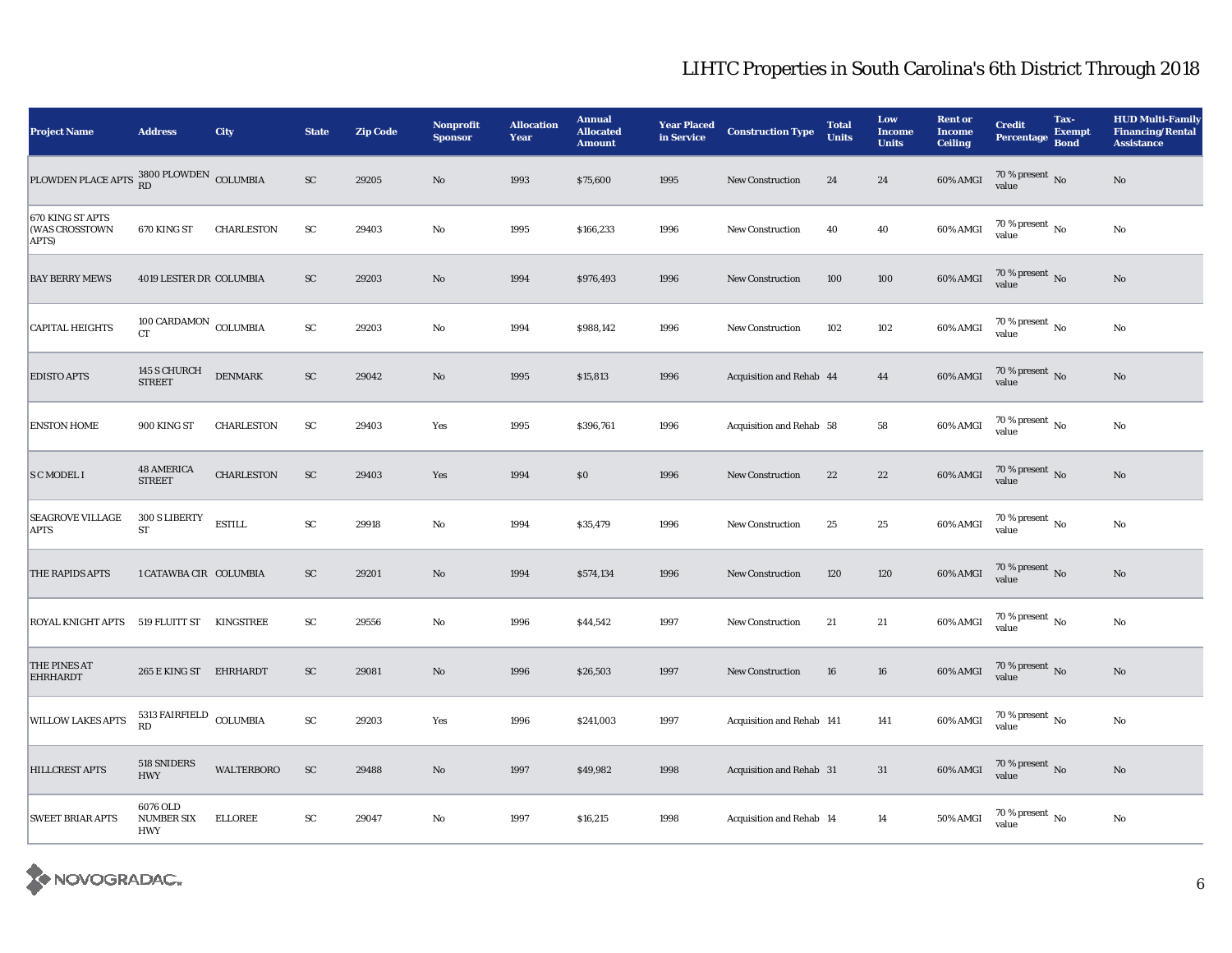| <b>Project Name</b>                         | <b>Address</b>                                | City              | <b>State</b>           | <b>Zip Code</b> | Nonprofit<br><b>Sponsor</b> | <b>Allocation</b><br>Year | <b>Annual</b><br><b>Allocated</b><br><b>Amount</b> | <b>Year Placed</b><br>in Service | <b>Construction Type</b>  | <b>Total</b><br><b>Units</b> | Low<br><b>Income</b><br><b>Units</b> | <b>Rent or</b><br><b>Income</b><br><b>Ceiling</b> | <b>Credit</b><br><b>Percentage</b> | Tax-<br><b>Exempt</b><br><b>Bond</b> | <b>HUD Multi-Family</b><br><b>Financing/Rental</b><br><b>Assistance</b> |
|---------------------------------------------|-----------------------------------------------|-------------------|------------------------|-----------------|-----------------------------|---------------------------|----------------------------------------------------|----------------------------------|---------------------------|------------------------------|--------------------------------------|---------------------------------------------------|------------------------------------|--------------------------------------|-------------------------------------------------------------------------|
| PLOWDEN PLACE APTS 3800 PLOWDEN COLUMBIA    |                                               |                   | ${\rm SC}$             | 29205           | $\mathbf{N}\mathbf{o}$      | 1993                      | \$75,600                                           | 1995                             | New Construction          | 24                           | 24                                   | 60% AMGI                                          | $70\,\%$ present $\,$ No value     |                                      | $\rm No$                                                                |
| 670 KING ST APTS<br>(WAS CROSSTOWN<br>APTS) | 670 KING ST                                   | <b>CHARLESTON</b> | ${\rm SC}$             | 29403           | No                          | 1995                      | \$166,233                                          | 1996                             | <b>New Construction</b>   | 40                           | 40                                   | 60% AMGI                                          | 70 % present $\,$ No $\,$<br>value |                                      | $\rm No$                                                                |
| <b>BAY BERRY MEWS</b>                       | 4019 LESTER DR COLUMBIA                       |                   | ${\rm SC}$             | 29203           | $\mathbf{N}\mathbf{o}$      | 1994                      | \$976,493                                          | 1996                             | <b>New Construction</b>   | 100                          | 100                                  | 60% AMGI                                          | $70\,\%$ present $\,$ No value     |                                      | $\rm No$                                                                |
| <b>CAPITAL HEIGHTS</b>                      | $100$ CARDAMON $_{\rm COLUMBIA}$<br><b>CT</b> |                   | $\mathbf{S}\mathbf{C}$ | 29203           | No                          | 1994                      | \$988,142                                          | 1996                             | <b>New Construction</b>   | 102                          | 102                                  | 60% AMGI                                          | 70 % present $\,$ No $\,$<br>value |                                      | $\rm No$                                                                |
| <b>EDISTO APTS</b>                          | 145 S CHURCH<br>STREET                        | <b>DENMARK</b>    | ${\rm SC}$             | 29042           | $\mathbf{N}\mathbf{o}$      | 1995                      | \$15,813                                           | 1996                             | Acquisition and Rehab 44  |                              | 44                                   | 60% AMGI                                          | $70\,\%$ present $\,$ No value     |                                      | $\rm No$                                                                |
| <b>ENSTON HOME</b>                          | 900 KING ST                                   | <b>CHARLESTON</b> | ${\rm SC}$             | 29403           | Yes                         | 1995                      | \$396,761                                          | 1996                             | Acquisition and Rehab 58  |                              | ${\bf 58}$                           | 60% AMGI                                          | 70 % present $\,$ No $\,$<br>value |                                      | $\rm No$                                                                |
| <b>S C MODEL I</b>                          | <b>48 AMERICA</b><br><b>STREET</b>            | <b>CHARLESTON</b> | ${\rm SC}$             | 29403           | Yes                         | 1994                      | \$0                                                | 1996                             | <b>New Construction</b>   | 22                           | $22\,$                               | 60% AMGI                                          | $70\,\%$ present $\,$ No value     |                                      | $\rm No$                                                                |
| <b>SEAGROVE VILLAGE</b><br><b>APTS</b>      | 300 S LIBERTY<br>ST                           | <b>ESTILL</b>     | ${\rm SC}$             | 29918           | No                          | 1994                      | \$35,479                                           | 1996                             | <b>New Construction</b>   | 25                           | $25\,$                               | 60% AMGI                                          | 70 % present $\,$ No $\,$<br>value |                                      | $\rm No$                                                                |
| THE RAPIDS APTS                             | 1 CATAWBA CIR COLUMBIA                        |                   | ${\rm sc}$             | 29201           | No                          | 1994                      | \$574,134                                          | 1996                             | <b>New Construction</b>   | 120                          | 120                                  | $60\%$ AMGI                                       | $70\,\%$ present $\,$ No value     |                                      | $\rm No$                                                                |
| <b>ROYAL KNIGHT APTS</b>                    | 519 FLUITT ST KINGSTREE                       |                   | ${\rm SC}$             | 29556           | No                          | 1996                      | \$44,542                                           | 1997                             | <b>New Construction</b>   | 21                           | $21\,$                               | 60% AMGI                                          | 70 % present $\,$ No $\,$<br>value |                                      | $\rm No$                                                                |
| THE PINES AT<br><b>EHRHARDT</b>             | 265 E KING ST EHRHARDT                        |                   | ${\rm SC}$             | 29081           | No                          | 1996                      | \$26,503                                           | 1997                             | <b>New Construction</b>   | ${\bf 16}$                   | ${\bf 16}$                           | $60\%$ AMGI                                       | $70\,\%$ present $\,$ No value     |                                      | $\rm No$                                                                |
| <b>WILLOW LAKES APTS</b>                    | 5313 FAIRFIELD COLUMBIA<br><b>RD</b>          |                   | ${\rm SC}$             | 29203           | Yes                         | 1996                      | \$241,003                                          | 1997                             | Acquisition and Rehab 141 |                              | 141                                  | 60% AMGI                                          | 70 % present $\,$ No $\,$<br>value |                                      | No                                                                      |
| HILLCREST APTS                              | 518 SNIDERS<br><b>HWY</b>                     | <b>WALTERBORO</b> | ${\rm SC}$             | 29488           | No                          | 1997                      | \$49,982                                           | 1998                             | Acquisition and Rehab 31  |                              | 31                                   | 60% AMGI                                          | $70\,\%$ present $\,$ No value     |                                      | $\rm No$                                                                |
| <b>SWEET BRIAR APTS</b>                     | 6076 OLD<br>NUMBER SIX<br><b>HWY</b>          | <b>ELLOREE</b>    | ${\rm SC}$             | 29047           | No                          | 1997                      | \$16,215                                           | 1998                             | Acquisition and Rehab 14  |                              | 14                                   | <b>50% AMGI</b>                                   | $70\,\%$ present $\,$ No value     |                                      | $\rm No$                                                                |

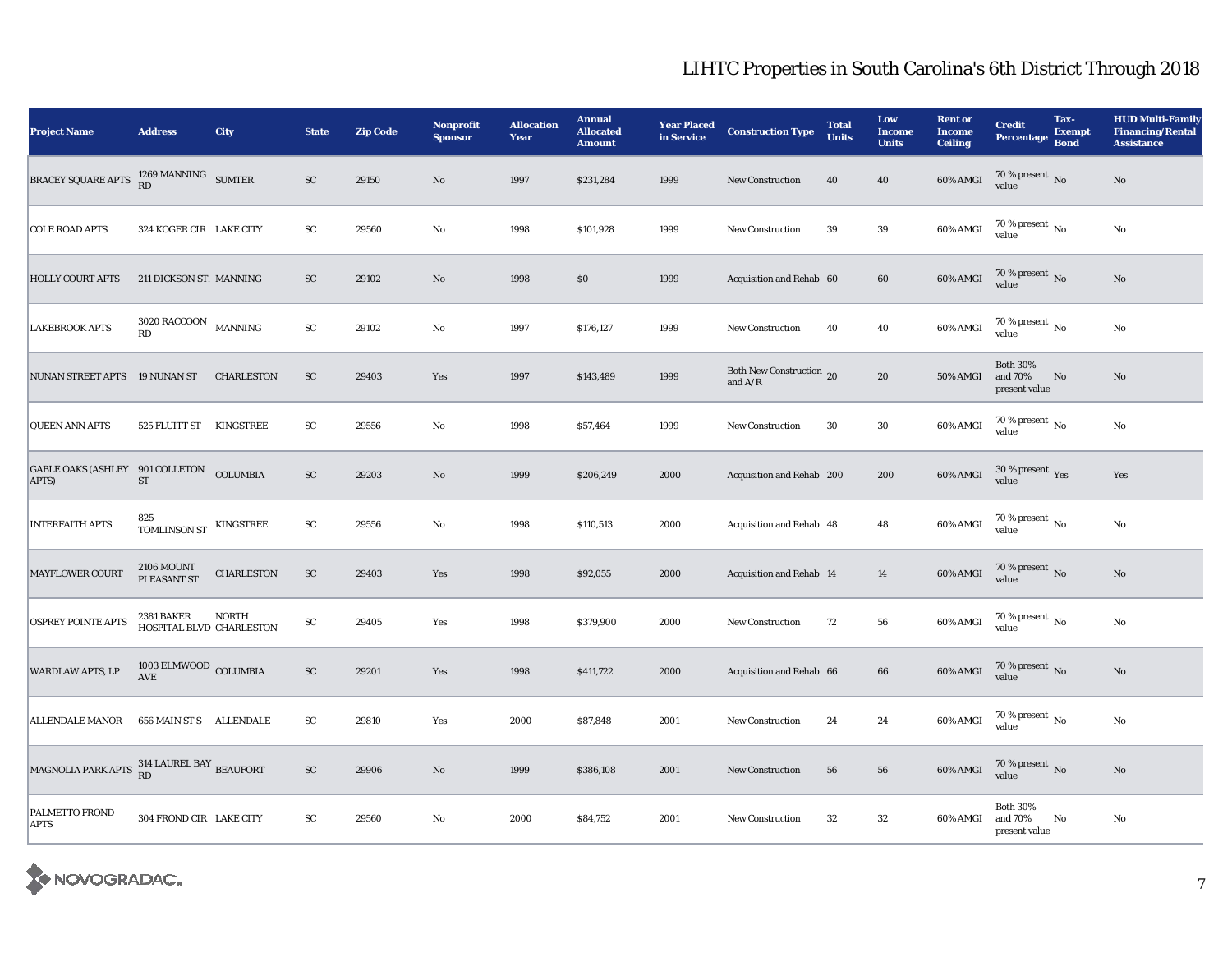| <b>Project Name</b>                               | <b>Address</b>                          | City              | <b>State</b> | <b>Zip Code</b> | <b>Nonprofit</b><br><b>Sponsor</b> | <b>Allocation</b><br>Year | <b>Annual</b><br><b>Allocated</b><br><b>Amount</b> | <b>Year Placed</b><br>in Service | <b>Construction Type</b>              | <b>Total</b><br><b>Units</b> | Low<br><b>Income</b><br><b>Units</b> | <b>Rent or</b><br><b>Income</b><br><b>Ceiling</b> | <b>Credit</b><br>Percentage                 | Tax-<br><b>Exempt</b><br><b>Bond</b> | <b>HUD Multi-Family</b><br><b>Financing/Rental</b><br><b>Assistance</b> |
|---------------------------------------------------|-----------------------------------------|-------------------|--------------|-----------------|------------------------------------|---------------------------|----------------------------------------------------|----------------------------------|---------------------------------------|------------------------------|--------------------------------------|---------------------------------------------------|---------------------------------------------|--------------------------------------|-------------------------------------------------------------------------|
| BRACEY SQUARE APTS                                | $1269$ MANNING $$\rm \,SUMTER$$ RD      |                   | ${\rm SC}$   | 29150           | No                                 | 1997                      | \$231,284                                          | 1999                             | <b>New Construction</b>               | 40                           | 40                                   | 60% AMGI                                          | $70\,\%$ present $\,$ No value              |                                      | $\rm No$                                                                |
| <b>COLE ROAD APTS</b>                             | 324 KOGER CIR LAKE CITY                 |                   | SC           | 29560           | No                                 | 1998                      | \$101,928                                          | 1999                             | <b>New Construction</b>               | 39                           | 39                                   | 60% AMGI                                          | 70 % present $\,$ No $\,$<br>value          |                                      | $\rm No$                                                                |
| <b>HOLLY COURT APTS</b>                           | 211 DICKSON ST. MANNING                 |                   | ${\rm SC}$   | 29102           | No                                 | 1998                      | $\$0$                                              | 1999                             | Acquisition and Rehab 60              |                              | 60                                   | 60% AMGI                                          | $70\,\%$ present $\,$ No value              |                                      | $\mathbf{N}\mathbf{o}$                                                  |
| <b>LAKEBROOK APTS</b>                             | 3020 RACCOON<br>RD                      | <b>MANNING</b>    | ${\rm SC}$   | 29102           | $\rm No$                           | 1997                      | \$176,127                                          | 1999                             | <b>New Construction</b>               | 40                           | 40                                   | 60% AMGI                                          | 70 % present $\,$ No $\,$<br>value          |                                      | $\rm No$                                                                |
| NUNAN STREET APTS 19 NUNAN ST                     |                                         | <b>CHARLESTON</b> | ${\rm SC}$   | 29403           | Yes                                | 1997                      | \$143,489                                          | 1999                             | Both New Construction 20<br>and $A/R$ |                              | 20                                   | <b>50% AMGI</b>                                   | <b>Both 30%</b><br>and 70%<br>present value | No                                   | $\rm No$                                                                |
| <b>QUEEN ANN APTS</b>                             | 525 FLUITT ST KINGSTREE                 |                   | ${\rm SC}$   | 29556           | No                                 | 1998                      | \$57,464                                           | 1999                             | <b>New Construction</b>               | 30                           | 30                                   | 60% AMGI                                          | 70 % present $\,$ No $\,$<br>value          |                                      | $\mathbf{N}\mathbf{o}$                                                  |
| GABLE OAKS (ASHLEY 901 COLLETON COLUMBIA<br>APTS) | $\operatorname{ST}$                     |                   | ${\rm SC}$   | 29203           | $\rm No$                           | 1999                      | \$206,249                                          | 2000                             | Acquisition and Rehab 200             |                              | 200                                  | <b>60% AMGI</b>                                   | $30\,\%$ present $\,\mathrm{Yes}$ value     |                                      | Yes                                                                     |
| <b>INTERFAITH APTS</b>                            | 825<br><b>TOMLINSON ST</b>              | KINGSTREE         | ${\rm SC}$   | 29556           | No                                 | 1998                      | \$110,513                                          | 2000                             | Acquisition and Rehab 48              |                              | 48                                   | 60% AMGI                                          | $70\,\%$ present $\,$ No value              |                                      | $\rm No$                                                                |
| MAYFLOWER COURT                                   | <b>2106 MOUNT</b><br>PLEASANT ST        | <b>CHARLESTON</b> | ${\rm SC}$   | 29403           | Yes                                | 1998                      | \$92,055                                           | 2000                             | Acquisition and Rehab 14              |                              | 14                                   | 60% AMGI                                          | $70\,\%$ present $\,$ No value              |                                      | $\mathbf{N}\mathbf{o}$                                                  |
| <b>OSPREY POINTE APTS</b>                         | 2381 BAKER<br>HOSPITAL BLVD CHARLESTON  | NORTH             | ${\rm SC}$   | 29405           | Yes                                | 1998                      | \$379,900                                          | 2000                             | <b>New Construction</b>               | 72                           | 56                                   | 60% AMGI                                          | 70 % present $\,$ No $\,$<br>value          |                                      | $\rm No$                                                                |
| <b>WARDLAW APTS, LP</b>                           | $1003$ ELMWOOD $_{\rm COLUMBIA}$<br>AVE |                   | ${\rm SC}$   | 29201           | Yes                                | 1998                      | \$411,722                                          | 2000                             | Acquisition and Rehab 66              |                              | 66                                   | 60% AMGI                                          | $70\,\%$ present $\,$ No value              |                                      | $\rm No$                                                                |
| <b>ALLENDALE MANOR</b>                            | 656 MAIN ST S ALLENDALE                 |                   | SC           | 29810           | Yes                                | 2000                      | \$87,848                                           | 2001                             | New Construction                      | 24                           | 24                                   | 60% AMGI                                          | $70\,\%$ present $\,$ No value              |                                      | No                                                                      |
| MAGNOLIA PARK APTS 314 LAUREL BAY BEAUFORT        |                                         |                   | ${\rm SC}$   | 29906           | No                                 | 1999                      | \$386,108                                          | 2001                             | <b>New Construction</b>               | 56                           | 56                                   | 60% AMGI                                          | $70\,\%$ present $\,$ No value              |                                      | $\mathbf{N}\mathbf{o}$                                                  |
| PALMETTO FROND<br><b>APTS</b>                     | 304 FROND CIR LAKE CITY                 |                   | ${\rm SC}$   | 29560           | No                                 | 2000                      | \$84,752                                           | 2001                             | <b>New Construction</b>               | 32                           | $32\,$                               | 60% AMGI                                          | <b>Both 30%</b><br>and 70%<br>present value | No                                   | No                                                                      |

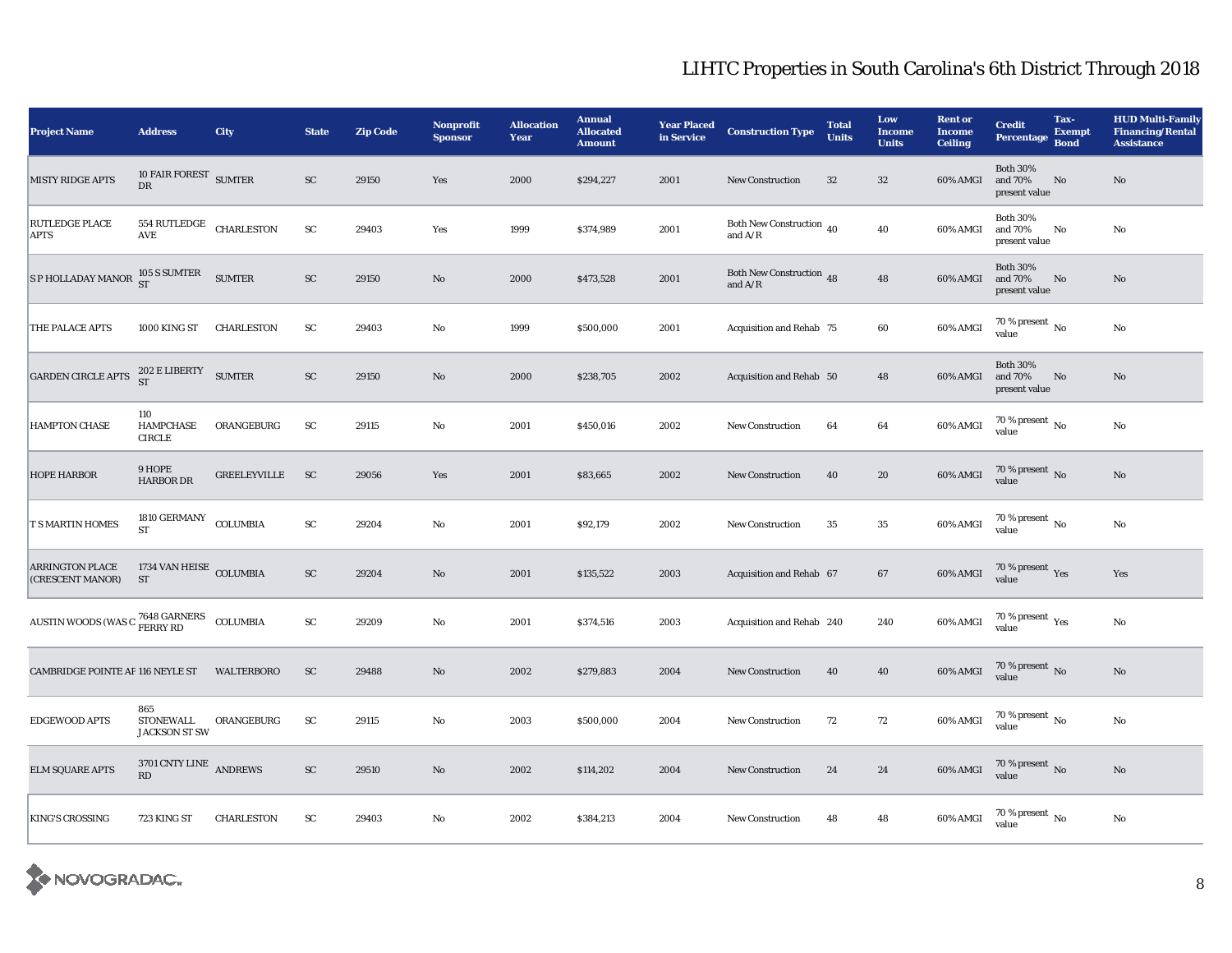| <b>Project Name</b>                                                 | <b>Address</b>                                          | <b>City</b>         | <b>State</b> | <b>Zip Code</b> | <b>Nonprofit</b><br><b>Sponsor</b> | <b>Allocation</b><br>Year | <b>Annual</b><br><b>Allocated</b><br><b>Amount</b> | <b>Year Placed</b><br>in Service | <b>Construction Type</b>              | <b>Total</b><br><b>Units</b> | Low<br><b>Income</b><br><b>Units</b> | <b>Rent or</b><br><b>Income</b><br><b>Ceiling</b> | <b>Credit</b><br><b>Percentage</b>          | Tax-<br><b>Exempt</b><br><b>Bond</b> | <b>HUD Multi-Family</b><br><b>Financing/Rental</b><br><b>Assistance</b> |
|---------------------------------------------------------------------|---------------------------------------------------------|---------------------|--------------|-----------------|------------------------------------|---------------------------|----------------------------------------------------|----------------------------------|---------------------------------------|------------------------------|--------------------------------------|---------------------------------------------------|---------------------------------------------|--------------------------------------|-------------------------------------------------------------------------|
| <b>MISTY RIDGE APTS</b>                                             | 10 FAIR FOREST SUMTER<br>DR                             |                     | ${\rm SC}$   | 29150           | Yes                                | 2000                      | \$294,227                                          | 2001                             | <b>New Construction</b>               | 32                           | 32                                   | 60% AMGI                                          | <b>Both 30%</b><br>and 70%<br>present value | No                                   | No                                                                      |
| <b>RUTLEDGE PLACE</b><br><b>APTS</b>                                | 554 RUTLEDGE<br>$\operatorname{\mathsf{AVE}}$           | <b>CHARLESTON</b>   | ${\rm SC}$   | 29403           | Yes                                | 1999                      | \$374,989                                          | 2001                             | Both New Construction 40<br>and $A/R$ |                              | ${\bf 40}$                           | 60% AMGI                                          | <b>Both 30%</b><br>and 70%<br>present value | No                                   | No                                                                      |
| S P HOLLADAY MANOR $\frac{105 \text{ S} \text{ SUMTER}}{\text{ST}}$ |                                                         | <b>SUMTER</b>       | ${\rm SC}$   | 29150           | No                                 | 2000                      | \$473,528                                          | 2001                             | Both New Construction 48<br>and $A/R$ |                              | 48                                   | 60% AMGI                                          | <b>Both 30%</b><br>and 70%<br>present value | No                                   | No                                                                      |
| THE PALACE APTS                                                     | 1000 KING ST                                            | <b>CHARLESTON</b>   | SC           | 29403           | No                                 | 1999                      | \$500,000                                          | 2001                             | Acquisition and Rehab 75              |                              | 60                                   | 60% AMGI                                          | 70 % present $\,$ No $\,$<br>value          |                                      | $\rm No$                                                                |
| GARDEN CIRCLE APTS                                                  | $\frac{202 \text{ E LIBERTY}}{\text{SUMTER}}$ SUMTER    |                     | ${\rm SC}$   | 29150           | No                                 | 2000                      | \$238,705                                          | 2002                             | Acquisition and Rehab 50              |                              | 48                                   | 60% AMGI                                          | <b>Both 30%</b><br>and 70%<br>present value | $\rm No$                             | $\mathbf{N}\mathbf{o}$                                                  |
| <b>HAMPTON CHASE</b>                                                | 110<br><b>HAMPCHASE</b><br><b>CIRCLE</b>                | ORANGEBURG          | SC           | 29115           | No                                 | 2001                      | \$450,016                                          | 2002                             | <b>New Construction</b>               | 64                           | 64                                   | 60% AMGI                                          | $70\%$ present No<br>value                  |                                      | $\rm No$                                                                |
| <b>HOPE HARBOR</b>                                                  | 9 HOPE<br><b>HARBOR DR</b>                              | <b>GREELEYVILLE</b> | <b>SC</b>    | 29056           | Yes                                | 2001                      | \$83,665                                           | 2002                             | <b>New Construction</b>               | 40                           | 20                                   | 60% AMGI                                          | $70\,\%$ present $\,$ No value              |                                      | $\rm No$                                                                |
| <b>T S MARTIN HOMES</b>                                             | 1810 GERMANY<br>${\rm ST}$                              | COLUMBIA            | ${\rm SC}$   | 29204           | $\mathbf{No}$                      | 2001                      | \$92,179                                           | 2002                             | <b>New Construction</b>               | 35                           | $\bf 35$                             | 60% AMGI                                          | $70\,\%$ present $\,$ No value              |                                      | $\rm No$                                                                |
| <b>ARRINGTON PLACE</b><br>(CRESCENT MANOR)                          | 1734 VAN HEISE COLUMBIA<br><b>ST</b>                    |                     | ${\rm SC}$   | 29204           | $\mathbf{N}\mathbf{o}$             | 2001                      | \$135,522                                          | 2003                             | Acquisition and Rehab 67              |                              | 67                                   | 60% AMGI                                          | $70\,\%$ present $\,$ Yes value             |                                      | Yes                                                                     |
| AUSTIN WOODS (WAS C $\frac{7648}{\rm FERRY}$ RD COLUMBIA            |                                                         |                     | ${\rm SC}$   | 29209           | $\mathbf{No}$                      | 2001                      | \$374,516                                          | 2003                             | Acquisition and Rehab 240             |                              | 240                                  | $60\%$ AMGI                                       | $70\,\%$ present $\,$ Yes value             |                                      | $\rm No$                                                                |
| <b>CAMBRIDGE POINTE AP 116 NEYLE ST</b>                             |                                                         | <b>WALTERBORO</b>   | ${\rm SC}$   | 29488           | No                                 | 2002                      | \$279,883                                          | 2004                             | <b>New Construction</b>               | 40                           | 40                                   | 60% AMGI                                          | $70\,\%$ present $\,$ No value              |                                      | $\rm No$                                                                |
| EDGEWOOD APTS                                                       | 865<br>STONEWALL<br><b>JACKSON ST SW</b>                | ORANGEBURG          | SC           | 29115           | No                                 | 2003                      | \$500,000                                          | 2004                             | <b>New Construction</b>               | 72                           | 72                                   | 60% AMGI                                          | $70\,\%$ present $\,$ No value              |                                      | $\rm No$                                                                |
| <b>ELM SQUARE APTS</b>                                              | $3701$ CNTY LINE $\,$ ANDREWS<br>$\mathbf{R}\mathbf{D}$ |                     | ${\rm SC}$   | 29510           | $\mathbf {No}$                     | 2002                      | \$114,202                                          | 2004                             | New Construction                      | 24                           | 24                                   | 60% AMGI                                          | $70\,\%$ present $\,$ No value              |                                      | $\rm No$                                                                |
| <b>KING'S CROSSING</b>                                              | 723 KING ST                                             | <b>CHARLESTON</b>   | ${\rm SC}$   | 29403           | No                                 | 2002                      | \$384,213                                          | 2004                             | <b>New Construction</b>               | 48                           | 48                                   | 60% AMGI                                          | $70$ % present $\,$ No $\,$<br>value        |                                      | $\rm\thinspace No$                                                      |

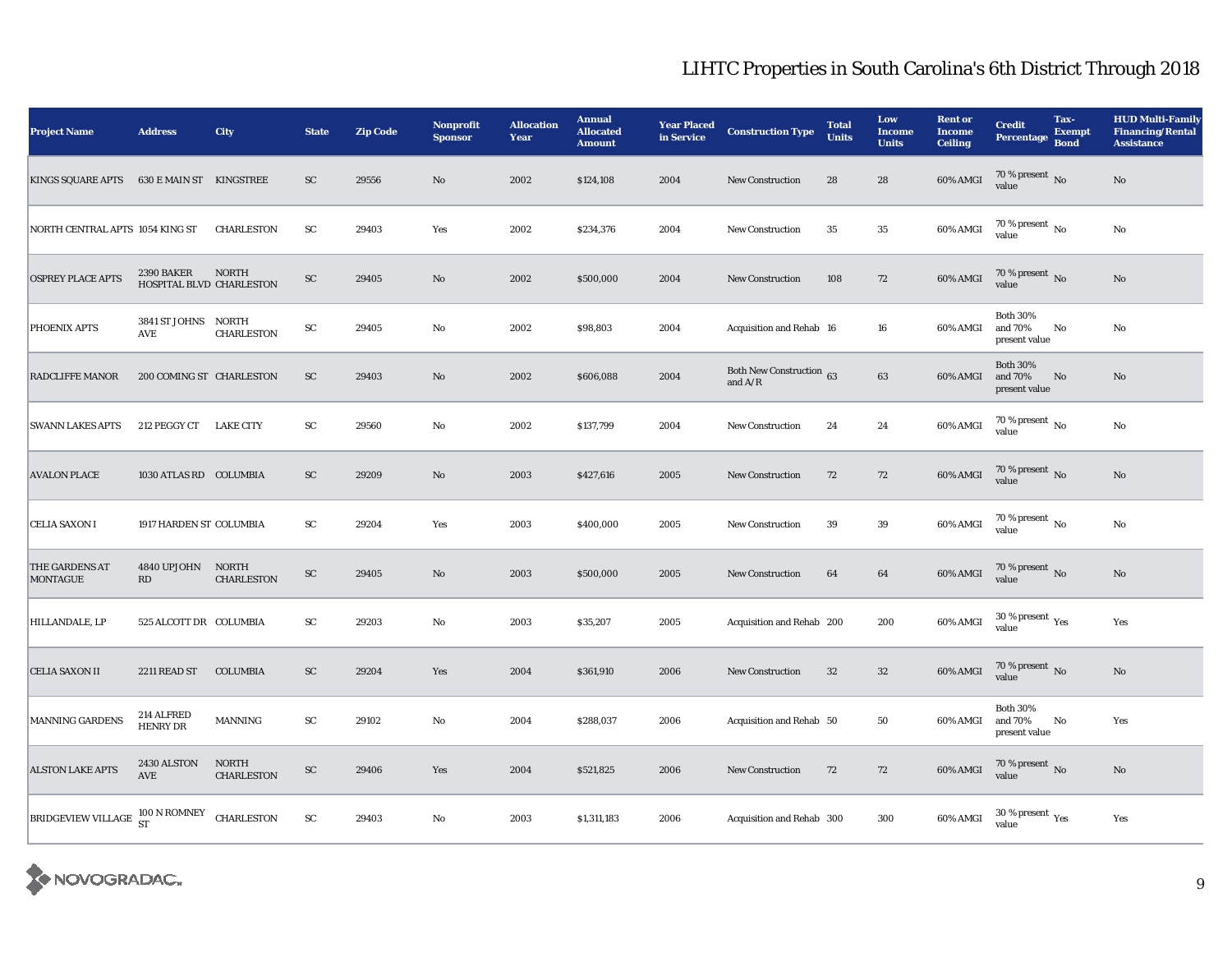| <b>Project Name</b>                             | <b>Address</b>                         | City                              | <b>State</b> | <b>Zip Code</b> | <b>Nonprofit</b><br><b>Sponsor</b> | <b>Allocation</b><br>Year | <b>Annual</b><br><b>Allocated</b><br><b>Amount</b> | <b>Year Placed</b><br>in Service | <b>Construction Type</b>              | <b>Total</b><br><b>Units</b> | Low<br><b>Income</b><br><b>Units</b> | <b>Rent or</b><br><b>Income</b><br>Ceiling | <b>Credit</b><br><b>Percentage</b>          | Tax-<br><b>Exempt</b><br><b>Bond</b> | <b>HUD Multi-Family</b><br><b>Financing/Rental</b><br><b>Assistance</b> |
|-------------------------------------------------|----------------------------------------|-----------------------------------|--------------|-----------------|------------------------------------|---------------------------|----------------------------------------------------|----------------------------------|---------------------------------------|------------------------------|--------------------------------------|--------------------------------------------|---------------------------------------------|--------------------------------------|-------------------------------------------------------------------------|
| <b>KINGS SQUARE APTS</b>                        | <b>630 E MAIN ST KINGSTREE</b>         |                                   | ${\rm SC}$   | 29556           | No                                 | 2002                      | \$124,108                                          | 2004                             | <b>New Construction</b>               | 28                           | 28                                   | 60% AMGI                                   | $70\,\%$ present $\,$ No value              |                                      | No                                                                      |
| NORTH CENTRAL APTS 1054 KING ST                 |                                        | <b>CHARLESTON</b>                 | SC           | 29403           | Yes                                | 2002                      | \$234,376                                          | 2004                             | <b>New Construction</b>               | 35                           | $35\,$                               | 60% AMGI                                   | 70 % present $\overline{N_0}$<br>value      |                                      | No                                                                      |
| <b>OSPREY PLACE APTS</b>                        | 2390 BAKER<br>HOSPITAL BLVD CHARLESTON | <b>NORTH</b>                      | ${\rm SC}$   | 29405           | $\mathbf{N}\mathbf{o}$             | 2002                      | \$500,000                                          | 2004                             | <b>New Construction</b>               | 108                          | 72                                   | 60% AMGI                                   | $70\,\%$ present $\,$ No value              |                                      | No                                                                      |
| PHOENIX APTS                                    | 3841 ST JOHNS NORTH<br>AVE             | <b>CHARLESTON</b>                 | ${\rm sc}$   | 29405           | No                                 | 2002                      | \$98,803                                           | 2004                             | Acquisition and Rehab 16              |                              | 16                                   | 60% AMGI                                   | <b>Both 30%</b><br>and 70%<br>present value | No                                   | No                                                                      |
| RADCLIFFE MANOR                                 | 200 COMING ST CHARLESTON               |                                   | ${\rm SC}$   | 29403           | $\mathbf{N}\mathbf{o}$             | 2002                      | \$606,088                                          | 2004                             | Both New Construction 63<br>and $A/R$ |                              | $\bf63$                              | 60% AMGI                                   | <b>Both 30%</b><br>and 70%<br>present value | No                                   | No                                                                      |
| <b>SWANN LAKES APTS</b>                         | 212 PEGGY CT                           | <b>LAKE CITY</b>                  | ${\rm SC}$   | 29560           | No                                 | 2002                      | \$137,799                                          | 2004                             | <b>New Construction</b>               | 24                           | $\bf 24$                             | 60% AMGI                                   | $70$ % present $\,$ No $\,$<br>value        |                                      | $\rm No$                                                                |
| <b>AVALON PLACE</b>                             | 1030 ATLAS RD COLUMBIA                 |                                   | ${\rm SC}$   | 29209           | $\mathbf{N}\mathbf{o}$             | 2003                      | \$427,616                                          | 2005                             | <b>New Construction</b>               | 72                           | 72                                   | 60% AMGI                                   | $70\,\%$ present $\,$ No value              |                                      | $\rm No$                                                                |
| CELIA SAXON I                                   | 1917 HARDEN ST COLUMBIA                |                                   | ${\rm SC}$   | 29204           | Yes                                | 2003                      | \$400,000                                          | 2005                             | <b>New Construction</b>               | 39                           | $39\,$                               | 60% AMGI                                   | 70 % present $\overline{N_0}$<br>value      |                                      | No                                                                      |
| THE GARDENS AT<br><b>MONTAGUE</b>               | 4840 UPJOHN<br>RD                      | <b>NORTH</b><br><b>CHARLESTON</b> | ${\rm SC}$   | 29405           | No                                 | 2003                      | \$500,000                                          | 2005                             | <b>New Construction</b>               | 64                           | 64                                   | 60% AMGI                                   | $70$ % present $\,$ No value                |                                      | No                                                                      |
| HILLANDALE, LP                                  | 525 ALCOTT DR COLUMBIA                 |                                   | ${\rm SC}$   | 29203           | $\mathbf{No}$                      | 2003                      | \$35,207                                           | 2005                             | Acquisition and Rehab 200             |                              | 200                                  | 60% AMGI                                   | $30$ % present $\,$ $\rm Yes$<br>value      |                                      | Yes                                                                     |
| <b>CELIA SAXON II</b>                           | 2211 READ ST                           | <b>COLUMBIA</b>                   | ${\rm sc}$   | 29204           | Yes                                | 2004                      | \$361,910                                          | 2006                             | <b>New Construction</b>               | 32                           | $32\,$                               | $60\%$ AMGI                                | $70$ % present $\,$ No value                |                                      | No                                                                      |
| MANNING GARDENS                                 | 214 ALFRED<br><b>HENRY DR</b>          | MANNING                           | ${\rm sc}$   | 29102           | No                                 | 2004                      | \$288,037                                          | 2006                             | Acquisition and Rehab 50              |                              | 50                                   | 60% AMGI                                   | <b>Both 30%</b><br>and 70%<br>present value | No                                   | Yes                                                                     |
| <b>ALSTON LAKE APTS</b>                         | 2430 ALSTON<br>AVE                     | <b>NORTH</b><br><b>CHARLESTON</b> | ${\rm SC}$   | 29406           | Yes                                | 2004                      | \$521,825                                          | 2006                             | <b>New Construction</b>               | 72                           | 72                                   | 60% AMGI                                   | $70$ % present $\,$ No value                |                                      | No                                                                      |
| BRIDGEVIEW VILLAGE $^{100}$ N ROMNEY CHARLESTON |                                        |                                   | ${\rm SC}$   | 29403           | No                                 | 2003                      | \$1,311,183                                        | 2006                             | Acquisition and Rehab 300             |                              | 300                                  | 60% AMGI                                   | $30\,\%$ present $\,\mathrm{Yes}$ value     |                                      | Yes                                                                     |

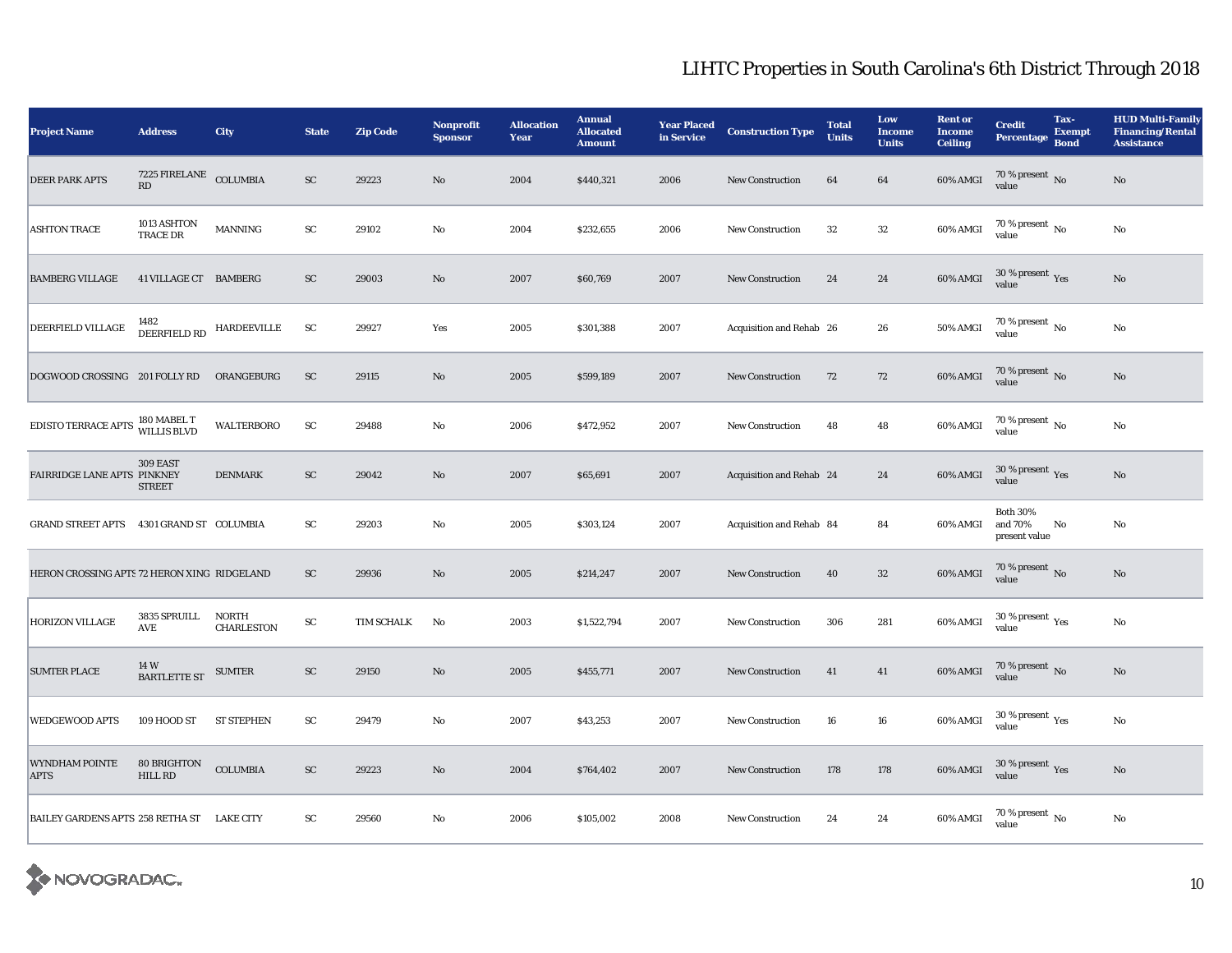| <b>Project Name</b>                            | <b>Address</b>                                   | City                              | <b>State</b> | <b>Zip Code</b> | <b>Nonprofit</b><br><b>Sponsor</b> | <b>Allocation</b><br>Year | <b>Annual</b><br><b>Allocated</b><br><b>Amount</b> | <b>Year Placed</b><br>in Service | <b>Construction Type</b> | <b>Total</b><br><b>Units</b> | Low<br><b>Income</b><br><b>Units</b> | <b>Rent or</b><br><b>Income</b><br><b>Ceiling</b> | <b>Credit</b><br><b>Percentage</b>          | Tax-<br><b>Exempt</b><br><b>Bond</b> | <b>HUD Multi-Family</b><br><b>Financing/Rental</b><br><b>Assistance</b> |
|------------------------------------------------|--------------------------------------------------|-----------------------------------|--------------|-----------------|------------------------------------|---------------------------|----------------------------------------------------|----------------------------------|--------------------------|------------------------------|--------------------------------------|---------------------------------------------------|---------------------------------------------|--------------------------------------|-------------------------------------------------------------------------|
| <b>DEER PARK APTS</b>                          | 7225 FIRELANE COLUMBIA<br>$\mathbf{R}\mathbf{D}$ |                                   | ${\rm SC}$   | 29223           | No                                 | 2004                      | \$440,321                                          | 2006                             | New Construction         | 64                           | 64                                   | 60% AMGI                                          | $70\,\%$ present $\,$ No value              |                                      | No                                                                      |
| <b>ASHTON TRACE</b>                            | 1013 ASHTON<br><b>TRACE DR</b>                   | MANNING                           | ${\rm SC}$   | 29102           | $\mathbf{N}\mathbf{o}$             | 2004                      | \$232,655                                          | 2006                             | <b>New Construction</b>  | 32                           | $32\,$                               | 60% AMGI                                          | 70 % present $\,$ No $\,$<br>value          |                                      | $\rm No$                                                                |
| <b>BAMBERG VILLAGE</b>                         | 41 VILLAGE CT BAMBERG                            |                                   | ${\rm SC}$   | 29003           | $\mathbf{N}\mathbf{o}$             | 2007                      | \$60,769                                           | 2007                             | New Construction         | 24                           | 24                                   | 60% AMGI                                          | $30\,\%$ present $\,$ Yes value             |                                      | No                                                                      |
| DEERFIELD VILLAGE                              | 1482<br>DEERFIELD RD HARDEEVILLE                 |                                   | ${\rm SC}$   | 29927           | Yes                                | 2005                      | \$301,388                                          | 2007                             | Acquisition and Rehab 26 |                              | 26                                   | <b>50% AMGI</b>                                   | $70\,\%$ present $_{\rm{No}}$               |                                      | No                                                                      |
| DOGWOOD CROSSING 201 FOLLY RD ORANGEBURG       |                                                  |                                   | <b>SC</b>    | 29115           | $\mathbf{N}\mathbf{o}$             | 2005                      | \$599,189                                          | 2007                             | New Construction         | 72                           | 72                                   | <b>60% AMGI</b>                                   | $70\,\%$ present $\,$ No value              |                                      | No                                                                      |
| EDISTO TERRACE APTS 180 MABEL T<br>WILLIS BLVD |                                                  | <b>WALTERBORO</b>                 | ${\rm SC}$   | 29488           | No                                 | 2006                      | \$472,952                                          | 2007                             | <b>New Construction</b>  | 48                           | 48                                   | $60\%$ AMGI                                       | $70\,\%$ present $\,$ No value              |                                      | $\rm No$                                                                |
| FAIRRIDGE LANE APTS PINKNEY                    | 309 EAST<br><b>STREET</b>                        | <b>DENMARK</b>                    | ${\rm SC}$   | 29042           | No                                 | 2007                      | \$65,691                                           | 2007                             | Acquisition and Rehab 24 |                              | 24                                   | 60% AMGI                                          | $30\,\%$ present $\,\mathrm{Yes}$ value     |                                      | No                                                                      |
| GRAND STREET APTS 4301 GRAND ST COLUMBIA       |                                                  |                                   | ${\rm SC}$   | 29203           | No                                 | 2005                      | \$303,124                                          | 2007                             | Acquisition and Rehab 84 |                              | 84                                   | 60% AMGI                                          | <b>Both 30%</b><br>and 70%<br>present value | No                                   | No                                                                      |
| HERON CROSSING APTS 72 HERON XING RIDGELAND    |                                                  |                                   | ${\rm SC}$   | 29936           | $\mathbf{N}\mathbf{o}$             | 2005                      | \$214,247                                          | 2007                             | New Construction         | 40                           | $32\,$                               | 60% AMGI                                          | $70\,\%$ present $\,$ No value              |                                      | No                                                                      |
| HORIZON VILLAGE                                | 3835 SPRUILL<br>AVE                              | <b>NORTH</b><br><b>CHARLESTON</b> | ${\rm SC}$   | TIM SCHALK      | No                                 | 2003                      | \$1,522,794                                        | 2007                             | <b>New Construction</b>  | 306                          | 281                                  | $60\%$ AMGI                                       | 30 % present $\,$ $\rm Yes$<br>value        |                                      | No                                                                      |
| <b>SUMTER PLACE</b>                            | 14 W<br><b>BARTLETTE ST</b>                      | <b>SUMTER</b>                     | ${\rm SC}$   | 29150           | No                                 | 2005                      | \$455,771                                          | 2007                             | New Construction         | 41                           | 41                                   | <b>60% AMGI</b>                                   | $70\,\%$ present $\,$ No value              |                                      | No                                                                      |
| <b>WEDGEWOOD APTS</b>                          | 109 HOOD ST                                      | <b>ST STEPHEN</b>                 | ${\rm SC}$   | 29479           | $\mathbf{N}\mathbf{o}$             | 2007                      | \$43,253                                           | 2007                             | <b>New Construction</b>  | 16                           | 16                                   | $60\%$ AMGI                                       | 30 % present $\rm \gamma_{\rm es}$<br>value |                                      | $\rm No$                                                                |
| <b>WYNDHAM POINTE</b><br><b>APTS</b>           | 80 BRIGHTON<br><b>HILL RD</b>                    | <b>COLUMBIA</b>                   | ${\rm SC}$   | 29223           | $\rm No$                           | 2004                      | \$764,402                                          | 2007                             | New Construction         | 178                          | 178                                  | 60% AMGI                                          | $30\,\%$ present $\,\mathrm{Yes}$ value     |                                      | No                                                                      |
| BAILEY GARDENS APTS 258 RETHA ST LAKE CITY     |                                                  |                                   | SC           | 29560           | $\rm No$                           | 2006                      | \$105,002                                          | 2008                             | <b>New Construction</b>  | 24                           | 24                                   | 60% AMGI                                          | $70\,\%$ present $\,$ No $\,$<br>value      |                                      | No                                                                      |

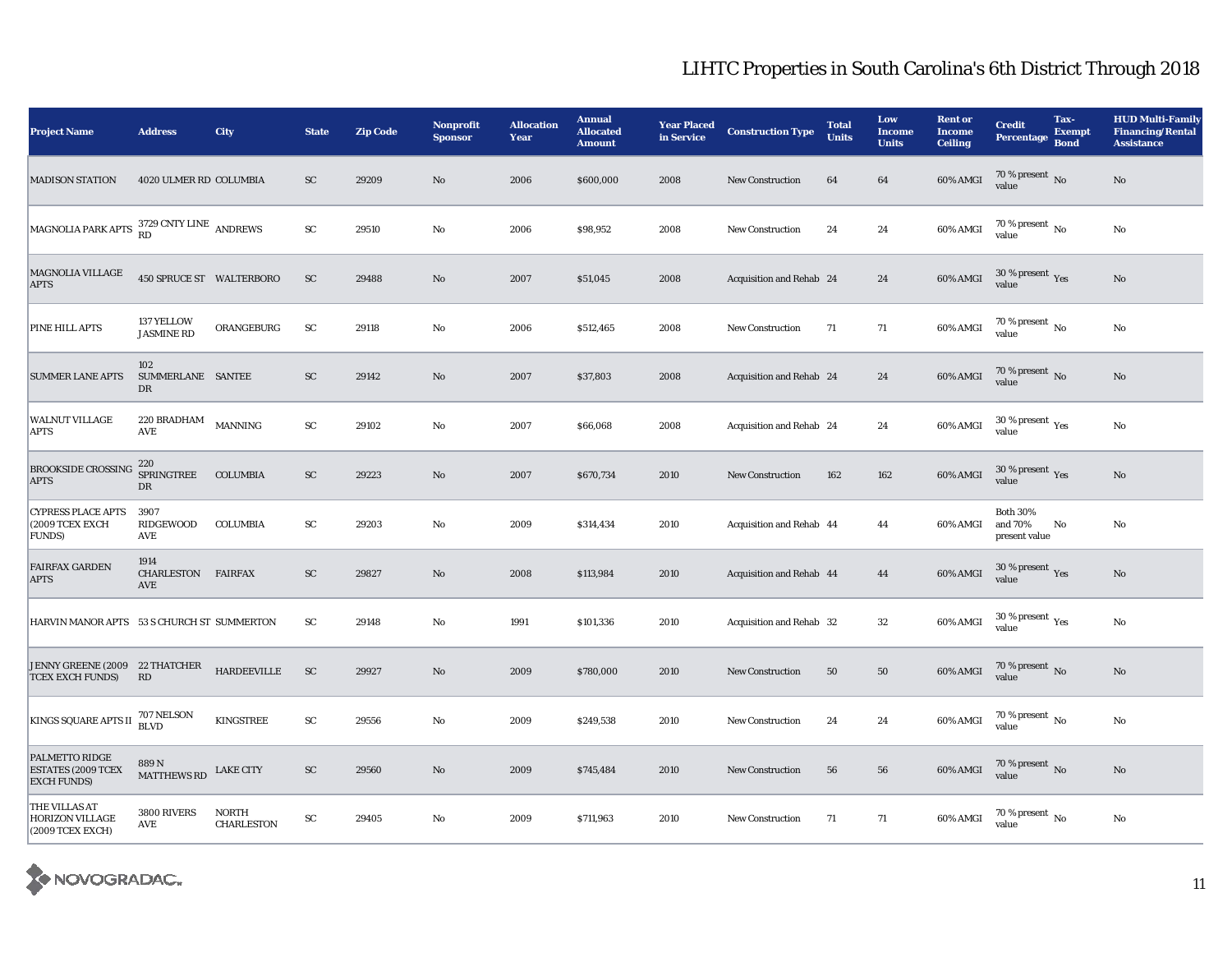| <b>Project Name</b>                                               | <b>Address</b>                    | City                              | <b>State</b>           | <b>Zip Code</b> | <b>Nonprofit</b><br><b>Sponsor</b> | <b>Allocation</b><br>Year | <b>Annual</b><br><b>Allocated</b><br><b>Amount</b> | <b>Year Placed</b><br>in Service | <b>Construction Type</b> | <b>Total</b><br><b>Units</b> | Low<br><b>Income</b><br><b>Units</b> | <b>Rent or</b><br><b>Income</b><br><b>Ceiling</b> | <b>Credit</b><br><b>Percentage</b>          | Tax-<br><b>Exempt</b><br><b>Bond</b> | <b>HUD Multi-Family</b><br><b>Financing/Rental</b><br><b>Assistance</b> |
|-------------------------------------------------------------------|-----------------------------------|-----------------------------------|------------------------|-----------------|------------------------------------|---------------------------|----------------------------------------------------|----------------------------------|--------------------------|------------------------------|--------------------------------------|---------------------------------------------------|---------------------------------------------|--------------------------------------|-------------------------------------------------------------------------|
| <b>MADISON STATION</b>                                            | 4020 ULMER RD COLUMBIA            |                                   | SC                     | 29209           | No                                 | 2006                      | \$600,000                                          | 2008                             | <b>New Construction</b>  | 64                           | 64                                   | 60% AMGI                                          | $70\,\%$ present $\,$ No value              |                                      | No                                                                      |
| MAGNOLIA PARK APTS <sup>3729</sup> CNTY LINE ANDREWS              |                                   |                                   | ${\rm sc}$             | 29510           | No                                 | 2006                      | \$98,952                                           | 2008                             | <b>New Construction</b>  | 24                           | 24                                   | 60% AMGI                                          | 70 % present $N_0$<br>value                 |                                      | $\rm No$                                                                |
| MAGNOLIA VILLAGE<br><b>APTS</b>                                   | 450 SPRUCE ST WALTERBORO          |                                   | $\mathbf{S}\mathbf{C}$ | 29488           | $\mathbf{N}\mathbf{o}$             | 2007                      | \$51,045                                           | 2008                             | Acquisition and Rehab 24 |                              | 24                                   | 60% AMGI                                          | $30\,\%$ present $\,\mathrm{Yes}$ value     |                                      | $\rm No$                                                                |
| PINE HILL APTS                                                    | 137 YELLOW<br><b>JASMINE RD</b>   | ORANGEBURG                        | ${\rm SC}$             | 29118           | No                                 | 2006                      | \$512,465                                          | 2008                             | <b>New Construction</b>  | 71                           | 71                                   | $60\%$ AMGI                                       | 70 % present $\,$ No $\,$<br>value          |                                      | No                                                                      |
| <b>SUMMER LANE APTS</b>                                           | 102<br>SUMMERLANE SANTEE<br>DR    |                                   | ${\rm SC}$             | 29142           | No                                 | 2007                      | \$37,803                                           | 2008                             | Acquisition and Rehab 24 |                              | 24                                   | 60% AMGI                                          | 70 % present $\,$ No $\,$<br>value          |                                      | $\rm No$                                                                |
| WALNUT VILLAGE<br>APTS                                            | 220 BRADHAM<br>AVE                | <b>MANNING</b>                    | ${\rm SC}$             | 29102           | No                                 | 2007                      | \$66,068                                           | 2008                             | Acquisition and Rehab 24 |                              | 24                                   | 60% AMGI                                          | 30 % present $\rm \gamma_{\rm es}$<br>value |                                      | No                                                                      |
| <b>BROOKSIDE CROSSING</b><br><b>APTS</b>                          | 220<br><b>SPRINGTREE</b><br>DR    | COLUMBIA                          | ${\rm SC}$             | 29223           | No                                 | 2007                      | \$670,734                                          | 2010                             | <b>New Construction</b>  | 162                          | 162                                  | 60% AMGI                                          | 30 % present $\rm\,Yes$<br>value            |                                      | No                                                                      |
| <b>CYPRESS PLACE APTS</b><br>(2009 TCEX EXCH<br>FUNDS)            | 3907<br>RIDGEWOOD<br>AVE          | <b>COLUMBIA</b>                   | ${\rm SC}$             | 29203           | No                                 | 2009                      | \$314,434                                          | 2010                             | Acquisition and Rehab 44 |                              | 44                                   | 60% AMGI                                          | <b>Both 30%</b><br>and 70%<br>present value | No                                   | No                                                                      |
| <b>FAIRFAX GARDEN</b><br><b>APTS</b>                              | 1914<br>CHARLESTON FAIRFAX<br>AVE |                                   | ${\rm SC}$             | 29827           | $\mathbf{No}$                      | 2008                      | \$113,984                                          | 2010                             | Acquisition and Rehab 44 |                              | 44                                   | 60% AMGI                                          | 30 % present $\rm\,Yes$<br>value            |                                      | $\rm No$                                                                |
| HARVIN MANOR APTS 53 S CHURCH ST SUMMERTON                        |                                   |                                   | SC                     | 29148           | No                                 | 1991                      | \$101,336                                          | 2010                             | Acquisition and Rehab 32 |                              | 32                                   | 60% AMGI                                          | 30 % present $\rm_{Yes}$<br>value           |                                      | No                                                                      |
| JENNY GREENE (2009 22 THATCHER<br><b>TCEX EXCH FUNDS)</b>         | RD                                | ${\bf HARDEEVILLE}$               | <b>SC</b>              | 29927           | No                                 | 2009                      | \$780,000                                          | 2010                             | New Construction         | 50                           | 50                                   | 60% AMGI                                          | $70\,\%$ present $\,$ No value              |                                      | $\rm No$                                                                |
| KINGS SQUARE APTS II                                              | 707 NELSON<br><b>BLVD</b>         | <b>KINGSTREE</b>                  | ${\rm SC}$             | 29556           | No                                 | 2009                      | \$249,538                                          | 2010                             | <b>New Construction</b>  | 24                           | 24                                   | 60% AMGI                                          | 70 % present $\,$ No $\,$<br>value          |                                      | $\rm No$                                                                |
| PALMETTO RIDGE<br><b>ESTATES (2009 TCEX</b><br><b>EXCH FUNDS)</b> | 889 N<br><b>MATTHEWS RD</b>       | <b>LAKE CITY</b>                  | ${\rm SC}$             | 29560           | No                                 | 2009                      | \$745,484                                          | 2010                             | <b>New Construction</b>  | 56                           | 56                                   | 60% AMGI                                          | $70\,\%$ present $\,$ No value              |                                      | $\mathbf{N}\mathbf{o}$                                                  |
| THE VILLAS AT<br><b>HORIZON VILLAGE</b><br>(2009 TCEX EXCH)       | 3800 RIVERS<br>AVE                | <b>NORTH</b><br><b>CHARLESTON</b> | ${\rm SC}$             | 29405           | No                                 | 2009                      | \$711,963                                          | 2010                             | <b>New Construction</b>  | 71                           | 71                                   | 60% AMGI                                          | $70$ % present $\,$ No $\,$<br>value        |                                      | $\rm No$                                                                |

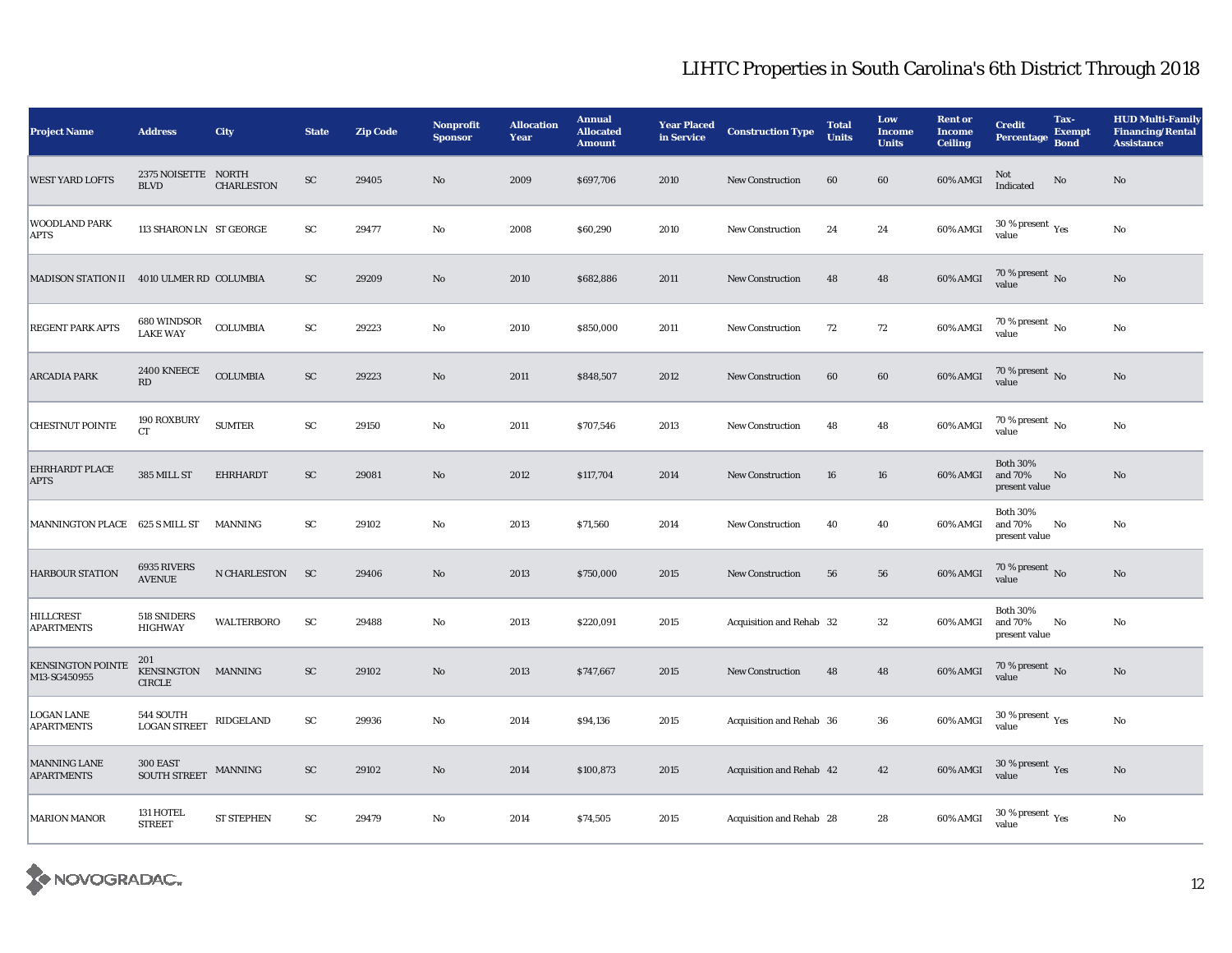| <b>Project Name</b>                       | <b>Address</b>                             | City              | <b>State</b> | <b>Zip Code</b> | Nonprofit<br><b>Sponsor</b> | <b>Allocation</b><br>Year | <b>Annual</b><br><b>Allocated</b><br><b>Amount</b> | <b>Year Placed</b><br>in Service | <b>Construction Type</b> | <b>Total</b><br><b>Units</b> | Low<br><b>Income</b><br><b>Units</b> | <b>Rent or</b><br><b>Income</b><br><b>Ceiling</b> | <b>Credit</b><br><b>Percentage</b>                   | Tax-<br><b>Exempt</b><br><b>Bond</b> | <b>HUD Multi-Family</b><br><b>Financing/Rental</b><br><b>Assistance</b> |
|-------------------------------------------|--------------------------------------------|-------------------|--------------|-----------------|-----------------------------|---------------------------|----------------------------------------------------|----------------------------------|--------------------------|------------------------------|--------------------------------------|---------------------------------------------------|------------------------------------------------------|--------------------------------------|-------------------------------------------------------------------------|
| <b>WEST YARD LOFTS</b>                    | 2375 NOISETTE NORTH<br><b>BLVD</b>         | <b>CHARLESTON</b> | SC           | 29405           | No                          | 2009                      | \$697,706                                          | 2010                             | <b>New Construction</b>  | 60                           | 60                                   | 60% AMGI                                          | Not<br>Indicated                                     | No                                   | No                                                                      |
| <b>WOODLAND PARK</b><br><b>APTS</b>       | 113 SHARON LN ST GEORGE                    |                   | ${\rm sc}$   | 29477           | No                          | 2008                      | \$60,290                                           | 2010                             | <b>New Construction</b>  | 24                           | 24                                   | 60% AMGI                                          | 30 % present $\rm\thinspace\gamma_{\rm es}$<br>value |                                      | No                                                                      |
| MADISON STATION II 4010 ULMER RD COLUMBIA |                                            |                   | ${\rm SC}$   | 29209           | No                          | 2010                      | \$682,886                                          | 2011                             | New Construction         | 48                           | $\bf 48$                             | 60% AMGI                                          | $70\,\%$ present $_{\rm No}$                         |                                      | $\rm No$                                                                |
| <b>REGENT PARK APTS</b>                   | 680 WINDSOR<br><b>LAKE WAY</b>             | $\sf COLUMBIA$    | ${\rm SC}$   | 29223           | No                          | 2010                      | \$850,000                                          | 2011                             | <b>New Construction</b>  | 72                           | 72                                   | 60% AMGI                                          | 70 % present $\,$ No $\,$<br>value                   |                                      | $\rm No$                                                                |
| <b>ARCADIA PARK</b>                       | 2400 KNEECE<br>RD                          | <b>COLUMBIA</b>   | ${\rm SC}$   | 29223           | No                          | 2011                      | \$848,507                                          | 2012                             | <b>New Construction</b>  | 60                           | 60                                   | 60% AMGI                                          | 70 % present $\overline{N}$ 0<br>value               |                                      | No                                                                      |
| <b>CHESTNUT POINTE</b>                    | 190 ROXBURY<br><b>CT</b>                   | <b>SUMTER</b>     | ${\rm sc}$   | 29150           | No                          | 2011                      | \$707,546                                          | 2013                             | <b>New Construction</b>  | 48                           | 48                                   | 60% AMGI                                          | 70 % present $\,$ No $\,$<br>value                   |                                      | No                                                                      |
| EHRHARDT PLACE<br><b>APTS</b>             | 385 MILL ST                                | EHRHARDT          | ${\rm SC}$   | 29081           | No                          | 2012                      | \$117,704                                          | 2014                             | <b>New Construction</b>  | 16                           | 16                                   | 60% AMGI                                          | <b>Both 30%</b><br>and 70%<br>present value          | No                                   | No                                                                      |
| MANNINGTON PLACE 625 S MILL ST            |                                            | MANNING           | ${\rm SC}$   | 29102           | No                          | 2013                      | \$71,560                                           | 2014                             | <b>New Construction</b>  | 40                           | 40                                   | 60% AMGI                                          | <b>Both 30%</b><br>and 70%<br>present value          | No                                   | No                                                                      |
| <b>HARBOUR STATION</b>                    | 6935 RIVERS<br><b>AVENUE</b>               | N CHARLESTON      | SC           | 29406           | No                          | 2013                      | \$750,000                                          | 2015                             | <b>New Construction</b>  | 56                           | 56                                   | 60% AMGI                                          | 70 % present $\,$ No $\,$<br>value                   |                                      | No                                                                      |
| <b>HILLCREST</b><br><b>APARTMENTS</b>     | 518 SNIDERS<br><b>HIGHWAY</b>              | <b>WALTERBORO</b> | <b>SC</b>    | 29488           | No                          | 2013                      | \$220,091                                          | 2015                             | Acquisition and Rehab 32 |                              | 32                                   | 60% AMGI                                          | <b>Both 30%</b><br>and 70%<br>present value          | No                                   | No                                                                      |
| <b>KENSINGTON POINTE</b><br>M13-SG450955  | 201<br>KENSINGTON MANNING<br><b>CIRCLE</b> |                   | ${\rm SC}$   | 29102           | No                          | 2013                      | \$747,667                                          | 2015                             | <b>New Construction</b>  | 48                           | 48                                   | $60\%$ AMGI                                       | 70 % present No<br>value                             |                                      | No                                                                      |
| <b>LOGAN LANE</b><br><b>APARTMENTS</b>    | 544 SOUTH<br><b>LOGAN STREET</b>           | RIDGELAND         | ${\bf SC}$   | 29936           | No                          | 2014                      | \$94,136                                           | 2015                             | Acquisition and Rehab 36 |                              | ${\bf 36}$                           | 60% AMGI                                          | 30 % present $\rm\thinspace_{Yes}$<br>value          |                                      | $\rm No$                                                                |
| MANNING LANE<br><b>APARTMENTS</b>         | 300 EAST<br><b>SOUTH STREET</b>            | MANNING           | <b>SC</b>    | 29102           | No                          | 2014                      | \$100,873                                          | 2015                             | Acquisition and Rehab 42 |                              | 42                                   | $60\%$ AMGI                                       | 30 % present $\sqrt{\gamma_{\rm ES}}$<br>value       |                                      | No                                                                      |
| <b>MARION MANOR</b>                       | 131 HOTEL<br><b>STREET</b>                 | <b>ST STEPHEN</b> | ${\rm SC}$   | 29479           | No                          | 2014                      | \$74,505                                           | 2015                             | Acquisition and Rehab 28 |                              | 28                                   | 60% AMGI                                          | $30$ % present $\,$ $\rm Yes$<br>value               |                                      | $\rm No$                                                                |

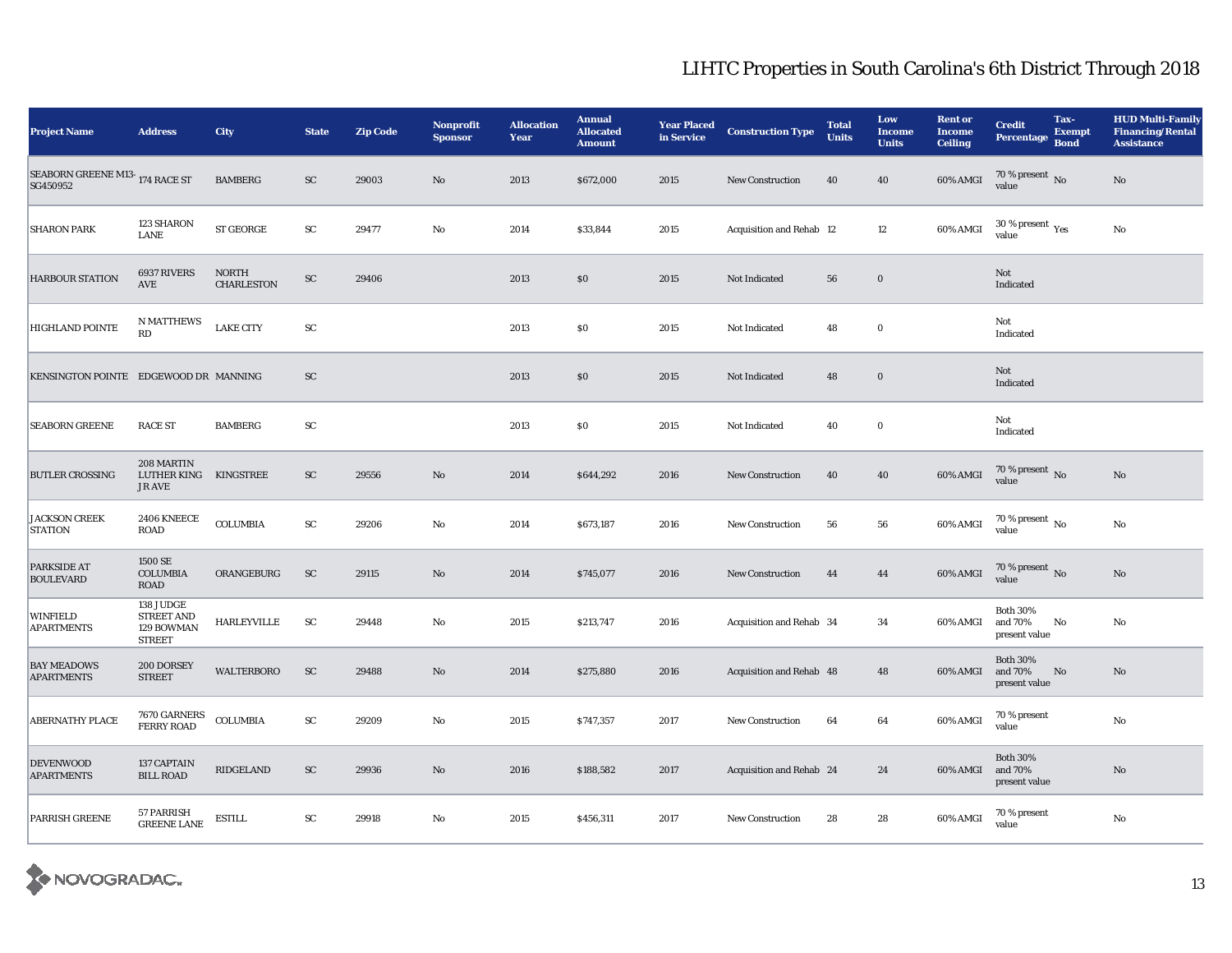| <b>Project Name</b>                        | <b>Address</b>                                                | City                              | <b>State</b> | <b>Zip Code</b> | Nonprofit<br><b>Sponsor</b> | <b>Allocation</b><br>Year | <b>Annual</b><br><b>Allocated</b><br><b>Amount</b> | <b>Year Placed</b><br>in Service | <b>Construction Type</b> | <b>Total</b><br><b>Units</b> | Low<br><b>Income</b><br><b>Units</b> | <b>Rent or</b><br><b>Income</b><br><b>Ceiling</b> | <b>Credit</b><br><b>Percentage</b>          | Tax-<br><b>Exempt</b><br><b>Bond</b> | <b>HUD Multi-Family</b><br><b>Financing/Rental</b><br><b>Assistance</b> |
|--------------------------------------------|---------------------------------------------------------------|-----------------------------------|--------------|-----------------|-----------------------------|---------------------------|----------------------------------------------------|----------------------------------|--------------------------|------------------------------|--------------------------------------|---------------------------------------------------|---------------------------------------------|--------------------------------------|-------------------------------------------------------------------------|
| SEABORN GREENE M13-174 RACE ST<br>SG450952 |                                                               | <b>BAMBERG</b>                    | SC           | 29003           | No                          | 2013                      | \$672,000                                          | 2015                             | <b>New Construction</b>  | 40                           | 40                                   | 60% AMGI                                          | $70\,\%$ present $\,$ No value              |                                      | No                                                                      |
| <b>SHARON PARK</b>                         | 123 SHARON<br><b>LANE</b>                                     | ST GEORGE                         | SC           | 29477           | No                          | 2014                      | \$33,844                                           | 2015                             | Acquisition and Rehab 12 |                              | 12                                   | 60% AMGI                                          | 30 % present $\rm\thinspace_{Yes}$<br>value |                                      | No                                                                      |
| <b>HARBOUR STATION</b>                     | 6937 RIVERS<br>AVE                                            | <b>NORTH</b><br><b>CHARLESTON</b> | ${\rm SC}$   | 29406           |                             | 2013                      | $\$0$                                              | 2015                             | Not Indicated            | 56                           | $\mathbf 0$                          |                                                   | Not<br>Indicated                            |                                      |                                                                         |
| <b>HIGHLAND POINTE</b>                     | <b>N MATTHEWS</b><br>RD                                       | <b>LAKE CITY</b>                  | ${\rm SC}$   |                 |                             | 2013                      | \$0                                                | 2015                             | Not Indicated            | 48                           | $\bf{0}$                             |                                                   | Not<br>Indicated                            |                                      |                                                                         |
| KENSINGTON POINTE EDGEWOOD DR MANNING      |                                                               |                                   | SC           |                 |                             | 2013                      | \$0                                                | 2015                             | Not Indicated            | 48                           | $\bf{0}$                             |                                                   | Not<br>Indicated                            |                                      |                                                                         |
| <b>SEABORN GREENE</b>                      | <b>RACE ST</b>                                                | <b>BAMBERG</b>                    | SC           |                 |                             | 2013                      | $\$0$                                              | 2015                             | Not Indicated            | 40                           | $\bf{0}$                             |                                                   | Not<br>Indicated                            |                                      |                                                                         |
| <b>BUTLER CROSSING</b>                     | 208 MARTIN<br>LUTHER KING KINGSTREE<br><b>JR AVE</b>          |                                   | SC           | 29556           | $\mathbf{N}\mathbf{o}$      | 2014                      | \$644,292                                          | 2016                             | <b>New Construction</b>  | 40                           | 40                                   | 60% AMGI                                          | $70\,\%$ present $\,$ No value              |                                      | $\mathbf{N}\mathbf{o}$                                                  |
| <b>JACKSON CREEK</b><br><b>STATION</b>     | 2406 KNEECE<br><b>ROAD</b>                                    | $\sf COLUMBIA$                    | ${\rm SC}$   | 29206           | $\rm No$                    | 2014                      | \$673,187                                          | 2016                             | <b>New Construction</b>  | 56                           | ${\bf 56}$                           | 60% AMGI                                          | 70 % present $\,$ No $\,$<br>value          |                                      | No                                                                      |
| PARKSIDE AT<br><b>BOULEVARD</b>            | 1500 SE<br><b>COLUMBIA</b><br>ROAD                            | ORANGEBURG                        | <b>SC</b>    | 29115           | $\rm No$                    | 2014                      | \$745,077                                          | 2016                             | <b>New Construction</b>  | 44                           | 44                                   | $60\%$ AMGI                                       | $70\,\%$ present $\,$ No value              |                                      | No                                                                      |
| <b>WINFIELD</b><br><b>APARTMENTS</b>       | 138 JUDGE<br><b>STREET AND</b><br>129 BOWMAN<br><b>STREET</b> | <b>HARLEYVILLE</b>                | SC           | 29448           | No                          | 2015                      | \$213,747                                          | 2016                             | Acquisition and Rehab 34 |                              | 34                                   | 60% AMGI                                          | <b>Both 30%</b><br>and 70%<br>present value | No                                   | No                                                                      |
| <b>BAY MEADOWS</b><br><b>APARTMENTS</b>    | 200 DORSEY<br><b>STREET</b>                                   | <b>WALTERBORO</b>                 | ${\rm SC}$   | 29488           | $\mathbf{N}\mathbf{o}$      | 2014                      | \$275,880                                          | 2016                             | Acquisition and Rehab 48 |                              | 48                                   | 60% AMGI                                          | <b>Both 30%</b><br>and 70%<br>present value | No                                   | No                                                                      |
| <b>ABERNATHY PLACE</b>                     | 7670 GARNERS<br>FERRY ROAD                                    | <b>COLUMBIA</b>                   | ${\rm SC}$   | 29209           | $\rm No$                    | 2015                      | \$747,357                                          | 2017                             | <b>New Construction</b>  | 64                           | $\bf{64}$                            | 60% AMGI                                          | 70 % present<br>value                       |                                      | No                                                                      |
| <b>DEVENWOOD</b><br><b>APARTMENTS</b>      | 137 CAPTAIN<br><b>BILL ROAD</b>                               | <b>RIDGELAND</b>                  | <b>SC</b>    | 29936           | No                          | 2016                      | \$188,582                                          | 2017                             | Acquisition and Rehab 24 |                              | 24                                   | 60% AMGI                                          | <b>Both 30%</b><br>and 70%<br>present value |                                      | No                                                                      |
| PARRISH GREENE                             | 57 PARRISH<br><b>GREENE LANE</b>                              | <b>ESTILL</b>                     | SC           | 29918           | No                          | 2015                      | \$456,311                                          | 2017                             | <b>New Construction</b>  | 28                           | 28                                   | 60% AMGI                                          | 70 % present<br>value                       |                                      | No                                                                      |